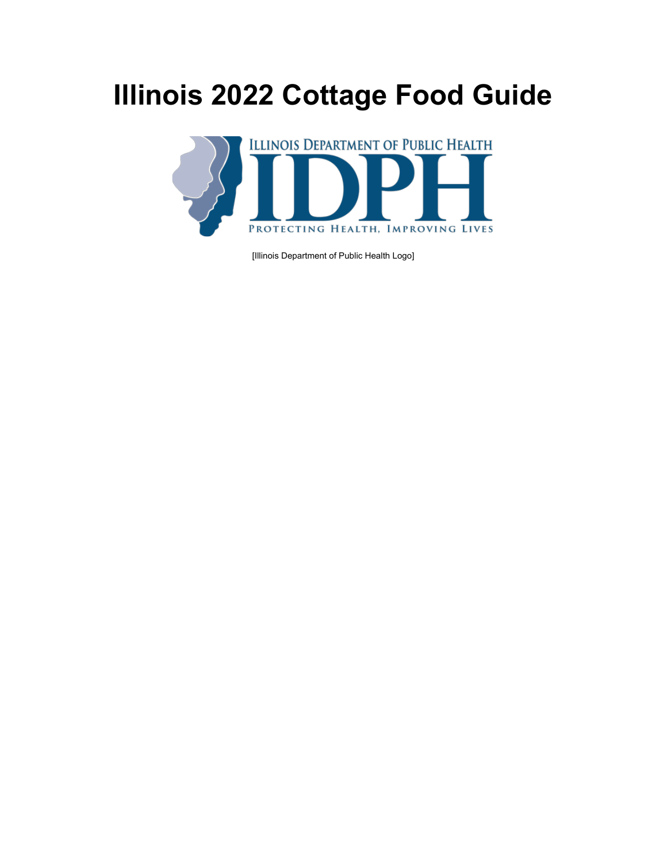# **Illinois 2022 Cottage Food Guide**



[Illinois Department of Public Health Logo]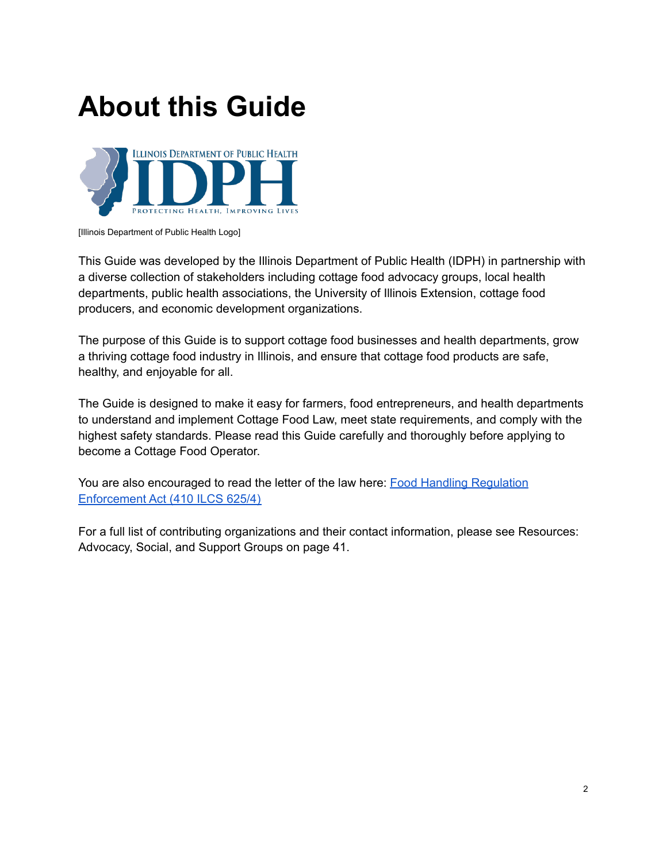## **About this Guide**



[Illinois Department of Public Health Logo]

This Guide was developed by the Illinois Department of Public Health (IDPH) in partnership with a diverse collection of stakeholders including cottage food advocacy groups, local health departments, public health associations, the University of Illinois Extension, cottage food producers, and economic development organizations.

The purpose of this Guide is to support cottage food businesses and health departments, grow a thriving cottage food industry in Illinois, and ensure that cottage food products are safe, healthy, and enjoyable for all.

The Guide is designed to make it easy for farmers, food entrepreneurs, and health departments to understand and implement Cottage Food Law, meet state requirements, and comply with the highest safety standards. Please read this Guide carefully and thoroughly before applying to become a Cottage Food Operator.

You are also encouraged to read the letter of the law here: **Food Handling [Regulation](https://www.ilga.gov/legislation/ilcs/ilcs3.asp?ActID=1578&ChapterID=35)** [Enforcement](https://www.ilga.gov/legislation/ilcs/ilcs3.asp?ActID=1578&ChapterID=35) Act (410 ILCS 625/4)

For a full list of contributing organizations and their contact information, please see Resources: Advocacy, Social, and Support Groups on page 41.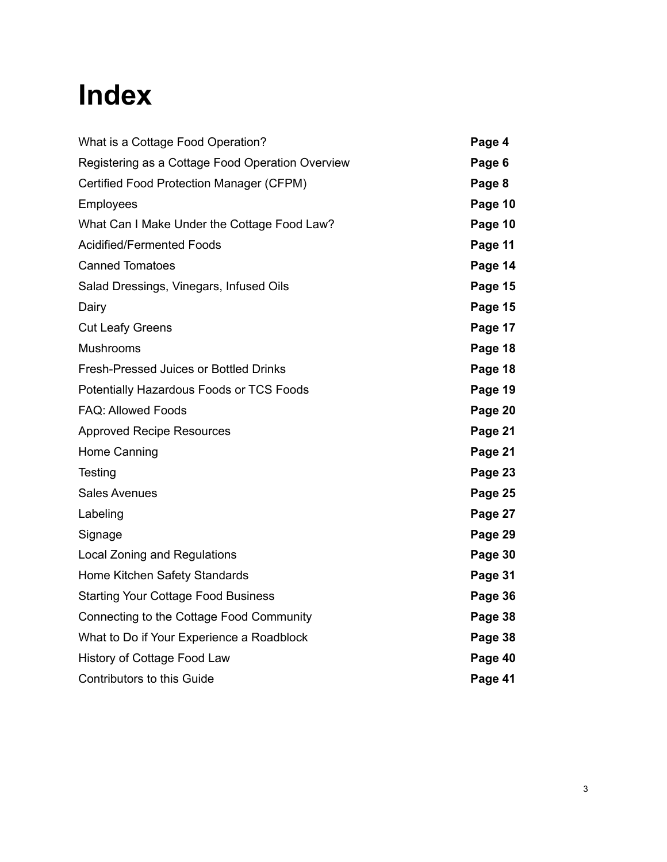# **Index**

| What is a Cottage Food Operation?                | Page 4  |
|--------------------------------------------------|---------|
| Registering as a Cottage Food Operation Overview | Page 6  |
| Certified Food Protection Manager (CFPM)         | Page 8  |
| <b>Employees</b>                                 | Page 10 |
| What Can I Make Under the Cottage Food Law?      | Page 10 |
| <b>Acidified/Fermented Foods</b>                 | Page 11 |
| <b>Canned Tomatoes</b>                           | Page 14 |
| Salad Dressings, Vinegars, Infused Oils          | Page 15 |
| Dairy                                            | Page 15 |
| <b>Cut Leafy Greens</b>                          | Page 17 |
| Mushrooms                                        | Page 18 |
| <b>Fresh-Pressed Juices or Bottled Drinks</b>    | Page 18 |
| Potentially Hazardous Foods or TCS Foods         | Page 19 |
| <b>FAQ: Allowed Foods</b>                        | Page 20 |
| <b>Approved Recipe Resources</b>                 | Page 21 |
| Home Canning                                     | Page 21 |
| Testing                                          | Page 23 |
| <b>Sales Avenues</b>                             | Page 25 |
| Labeling                                         | Page 27 |
| Signage                                          | Page 29 |
| <b>Local Zoning and Regulations</b>              | Page 30 |
| Home Kitchen Safety Standards                    | Page 31 |
| <b>Starting Your Cottage Food Business</b>       | Page 36 |
| Connecting to the Cottage Food Community         | Page 38 |
| What to Do if Your Experience a Roadblock        | Page 38 |
| History of Cottage Food Law                      | Page 40 |
| <b>Contributors to this Guide</b>                | Page 41 |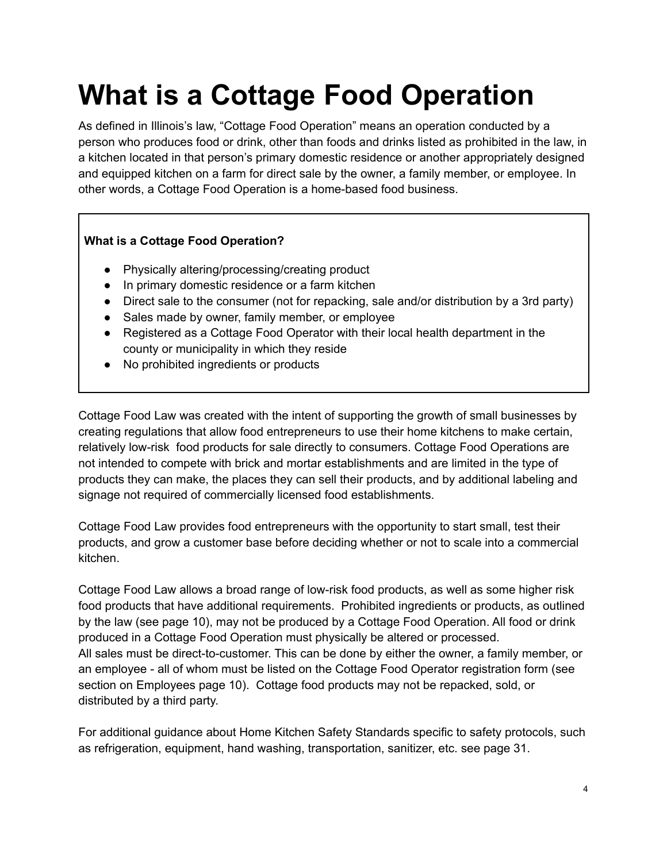# **What is a Cottage Food Operation**

As defined in Illinois's law, "Cottage Food Operation" means an operation conducted by a person who produces food or drink, other than foods and drinks listed as prohibited in the law, in a kitchen located in that person's primary domestic residence or another appropriately designed and equipped kitchen on a farm for direct sale by the owner, a family member, or employee. In other words, a Cottage Food Operation is a home-based food business.

### **What is a Cottage Food Operation?**

- Physically altering/processing/creating product
- In primary domestic residence or a farm kitchen
- Direct sale to the consumer (not for repacking, sale and/or distribution by a 3rd party)
- Sales made by owner, family member, or employee
- Registered as a Cottage Food Operator with their local health department in the county or municipality in which they reside
- No prohibited ingredients or products

Cottage Food Law was created with the intent of supporting the growth of small businesses by creating regulations that allow food entrepreneurs to use their home kitchens to make certain, relatively low-risk food products for sale directly to consumers. Cottage Food Operations are not intended to compete with brick and mortar establishments and are limited in the type of products they can make, the places they can sell their products, and by additional labeling and signage not required of commercially licensed food establishments.

Cottage Food Law provides food entrepreneurs with the opportunity to start small, test their products, and grow a customer base before deciding whether or not to scale into a commercial kitchen.

Cottage Food Law allows a broad range of low-risk food products, as well as some higher risk food products that have additional requirements. Prohibited ingredients or products, as outlined by the law (see page 10), may not be produced by a Cottage Food Operation. All food or drink produced in a Cottage Food Operation must physically be altered or processed. All sales must be direct-to-customer. This can be done by either the owner, a family member, or an employee - all of whom must be listed on the Cottage Food Operator registration form (see section on Employees page 10). Cottage food products may not be repacked, sold, or distributed by a third party.

For additional guidance about Home Kitchen Safety Standards specific to safety protocols, such as refrigeration, equipment, hand washing, transportation, sanitizer, etc. see page 31.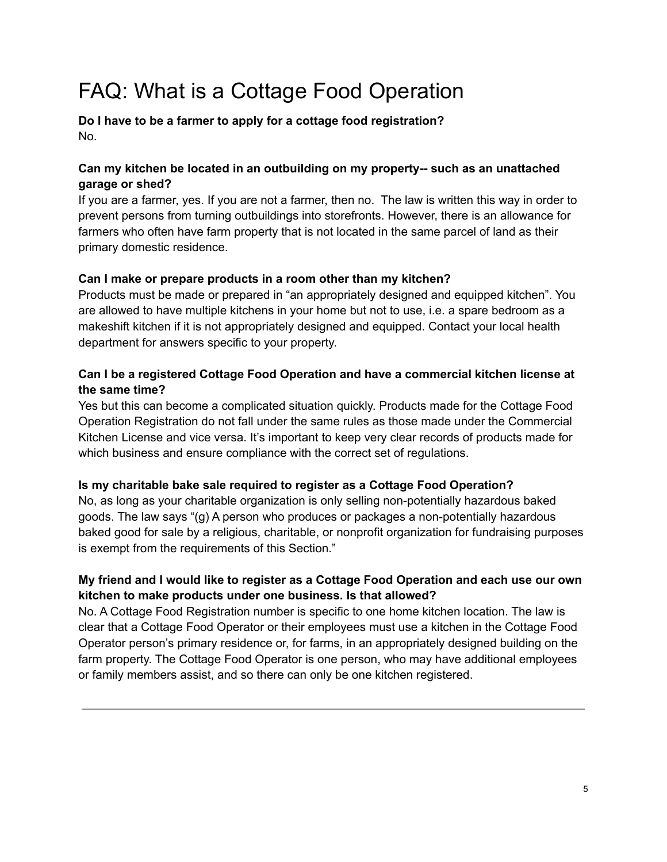## FAQ: What is a Cottage Food Operation

**Do I have to be a farmer to apply for a cottage food registration?** No.

### **Can my kitchen be located in an outbuilding on my property-- such as an unattached garage or shed?**

If you are a farmer, yes. If you are not a farmer, then no. The law is written this way in order to prevent persons from turning outbuildings into storefronts. However, there is an allowance for farmers who often have farm property that is not located in the same parcel of land as their primary domestic residence.

### **Can I make or prepare products in a room other than my kitchen?**

Products must be made or prepared in "an appropriately designed and equipped kitchen". You are allowed to have multiple kitchens in your home but not to use, i.e. a spare bedroom as a makeshift kitchen if it is not appropriately designed and equipped. Contact your local health department for answers specific to your property.

### **Can I be a registered Cottage Food Operation and have a commercial kitchen license at the same time?**

Yes but this can become a complicated situation quickly. Products made for the Cottage Food Operation Registration do not fall under the same rules as those made under the Commercial Kitchen License and vice versa. It's important to keep very clear records of products made for which business and ensure compliance with the correct set of regulations.

### **Is my charitable bake sale required to register as a Cottage Food Operation?**

No, as long as your charitable organization is only selling non-potentially hazardous baked goods. The law says "(g) A person who produces or packages a non-potentially hazardous baked good for sale by a religious, charitable, or nonprofit organization for fundraising purposes is exempt from the requirements of this Section."

### **My friend and I would like to register as a Cottage Food Operation and each use our own kitchen to make products under one business. Is that allowed?**

No. A Cottage Food Registration number is specific to one home kitchen location. The law is clear that a Cottage Food Operator or their employees must use a kitchen in the Cottage Food Operator person's primary residence or, for farms, in an appropriately designed building on the farm property. The Cottage Food Operator is one person, who may have additional employees or family members assist, and so there can only be one kitchen registered.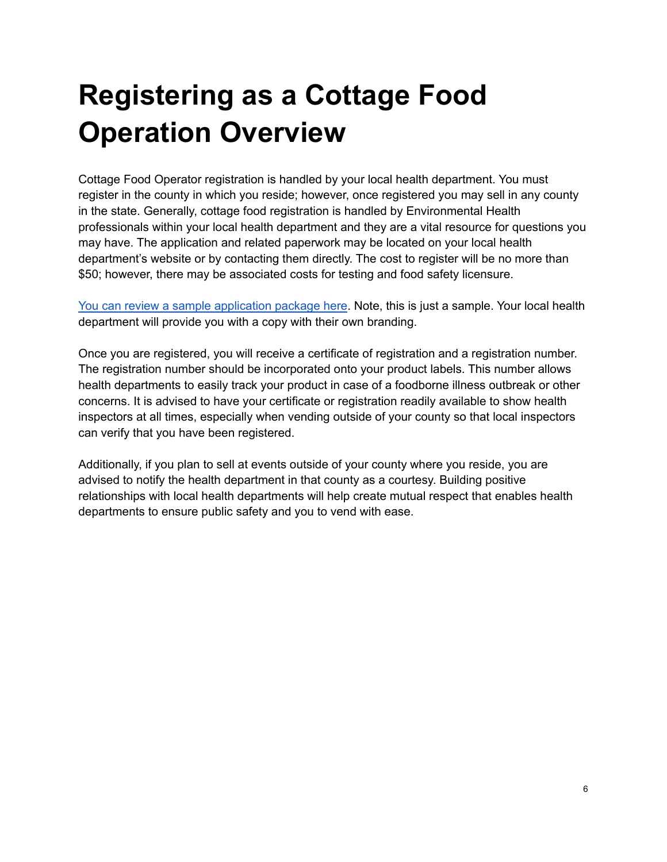# **Registering as a Cottage Food Operation Overview**

Cottage Food Operator registration is handled by your local health department. You must register in the county in which you reside; however, once registered you may sell in any county in the state. Generally, cottage food registration is handled by Environmental Health professionals within your local health department and they are a vital resource for questions you may have. The application and related paperwork may be located on your local health department's website or by contacting them directly. The cost to register will be no more than \$50; however, there may be associated costs for testing and food safety licensure.

You can review a sample [application](https://drive.google.com/drive/folders/1nWTxspL69zSQiZZI7hrfowQCHLDcf3dP?usp=sharing) package here. Note, this is just a sample. Your local health department will provide you with a copy with their own branding.

Once you are registered, you will receive a certificate of registration and a registration number. The registration number should be incorporated onto your product labels. This number allows health departments to easily track your product in case of a foodborne illness outbreak or other concerns. It is advised to have your certificate or registration readily available to show health inspectors at all times, especially when vending outside of your county so that local inspectors can verify that you have been registered.

Additionally, if you plan to sell at events outside of your county where you reside, you are advised to notify the health department in that county as a courtesy. Building positive relationships with local health departments will help create mutual respect that enables health departments to ensure public safety and you to vend with ease.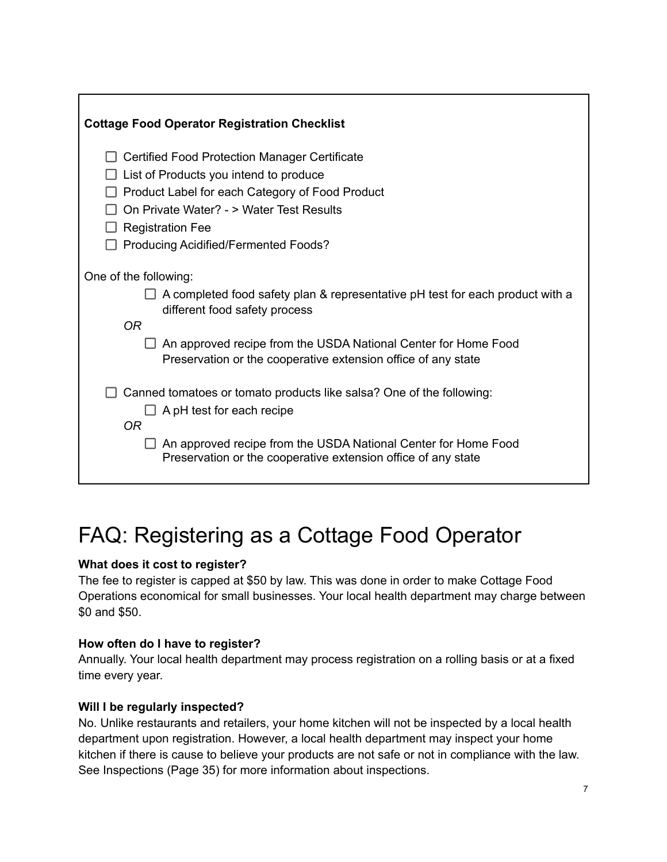| <b>Cottage Food Operator Registration Checklist</b>                                                            |
|----------------------------------------------------------------------------------------------------------------|
| <b>Certified Food Protection Manager Certificate</b>                                                           |
| List of Products you intend to produce                                                                         |
| Product Label for each Category of Food Product                                                                |
| On Private Water? - > Water Test Results                                                                       |
| <b>Registration Fee</b>                                                                                        |
| Producing Acidified/Fermented Foods?                                                                           |
| One of the following:                                                                                          |
| A completed food safety plan & representative pH test for each product with a<br>different food safety process |
| 0R                                                                                                             |
| An approved recipe from the USDA National Center for Home Food                                                 |
| Preservation or the cooperative extension office of any state                                                  |
| Canned tomatoes or tomato products like salsa? One of the following:                                           |
| A pH test for each recipe                                                                                      |
| <b>OR</b>                                                                                                      |
| An approved recipe from the USDA National Center for Home Food                                                 |
| Preservation or the cooperative extension office of any state                                                  |

## FAQ: Registering as a Cottage Food Operator

### **What does it cost to register?**

The fee to register is capped at \$50 by law. This was done in order to make Cottage Food Operations economical for small businesses. Your local health department may charge between \$0 and \$50.

### **How often do I have to register?**

Annually. Your local health department may process registration on a rolling basis or at a fixed time every year.

### **Will I be regularly inspected?**

No. Unlike restaurants and retailers, your home kitchen will not be inspected by a local health department upon registration. However, a local health department may inspect your home kitchen if there is cause to believe your products are not safe or not in compliance with the law. See Inspections (Page 35) for more information about inspections.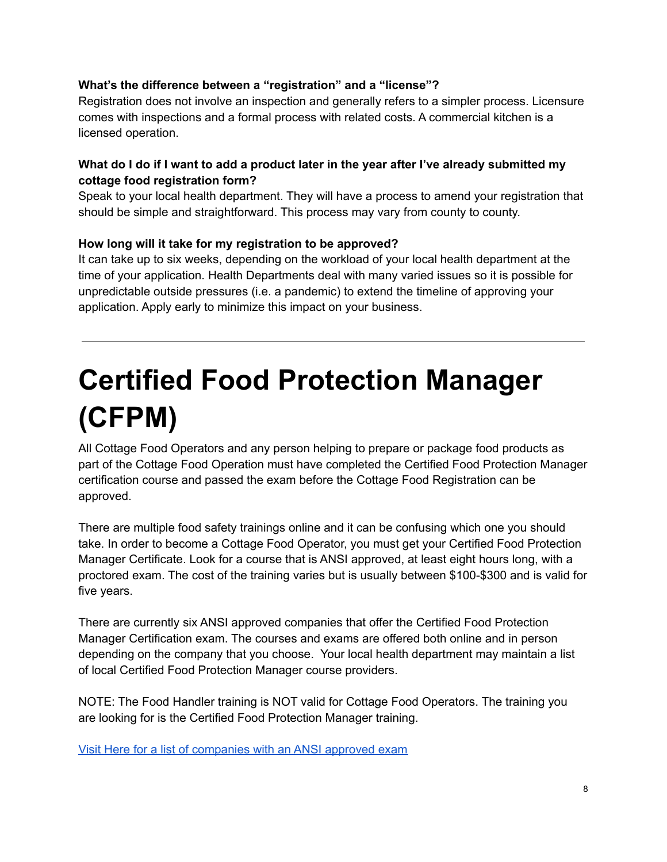### **What's the difference between a "registration" and a "license"?**

Registration does not involve an inspection and generally refers to a simpler process. Licensure comes with inspections and a formal process with related costs. A commercial kitchen is a licensed operation.

### What do I do if I want to add a product later in the year after I've already submitted my **cottage food registration form?**

Speak to your local health department. They will have a process to amend your registration that should be simple and straightforward. This process may vary from county to county.

### **How long will it take for my registration to be approved?**

It can take up to six weeks, depending on the workload of your local health department at the time of your application. Health Departments deal with many varied issues so it is possible for unpredictable outside pressures (i.e. a pandemic) to extend the timeline of approving your application. Apply early to minimize this impact on your business.

# **Certified Food Protection Manager (CFPM)**

All Cottage Food Operators and any person helping to prepare or package food products as part of the Cottage Food Operation must have completed the Certified Food Protection Manager certification course and passed the exam before the Cottage Food Registration can be approved.

There are multiple food safety trainings online and it can be confusing which one you should take. In order to become a Cottage Food Operator, you must get your Certified Food Protection Manager Certificate. Look for a course that is ANSI approved, at least eight hours long, with a proctored exam. The cost of the training varies but is usually between \$100-\$300 and is valid for five years.

There are currently six ANSI approved companies that offer the Certified Food Protection Manager Certification exam. The courses and exams are offered both online and in person depending on the company that you choose. Your local health department may maintain a list of local Certified Food Protection Manager course providers.

NOTE: The Food Handler training is NOT valid for Cottage Food Operators. The training you are looking for is the Certified Food Protection Manager training.

Visit Here for a list of [companies](https://anabpd.ansi.org/Accreditation/credentialing/personnel-certification/food-protection-manager/ALLdirectoryListing?menuID=8&prgID=8&statusID=4) with an ANSI approved exam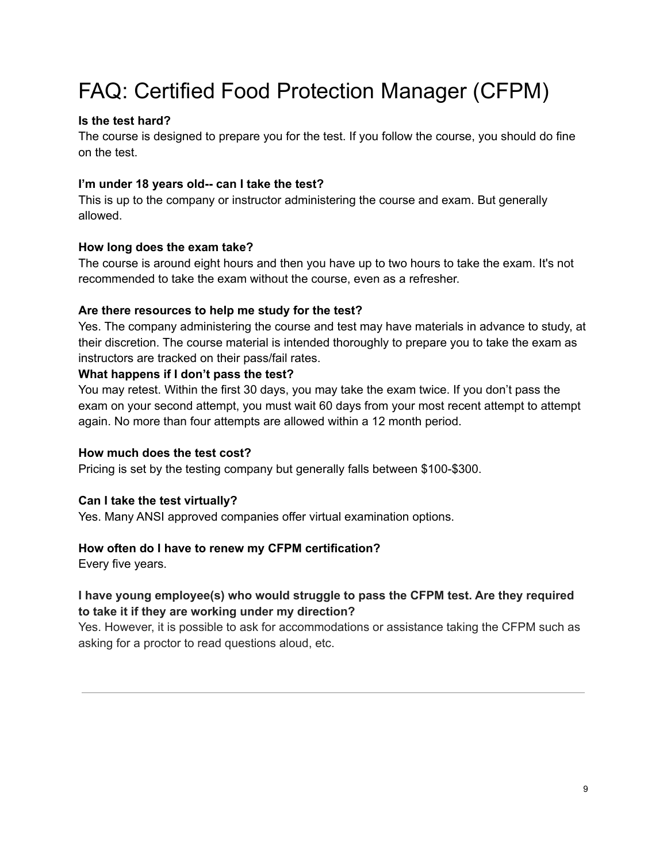## FAQ: Certified Food Protection Manager (CFPM)

### **Is the test hard?**

The course is designed to prepare you for the test. If you follow the course, you should do fine on the test.

### **I'm under 18 years old-- can I take the test?**

This is up to the company or instructor administering the course and exam. But generally allowed.

### **How long does the exam take?**

The course is around eight hours and then you have up to two hours to take the exam. It's not recommended to take the exam without the course, even as a refresher.

### **Are there resources to help me study for the test?**

Yes. The company administering the course and test may have materials in advance to study, at their discretion. The course material is intended thoroughly to prepare you to take the exam as instructors are tracked on their pass/fail rates.

### **What happens if I don't pass the test?**

You may retest. Within the first 30 days, you may take the exam twice. If you don't pass the exam on your second attempt, you must wait 60 days from your most recent attempt to attempt again. No more than four attempts are allowed within a 12 month period.

### **How much does the test cost?**

Pricing is set by the testing company but generally falls between \$100-\$300.

### **Can I take the test virtually?**

Yes. Many ANSI approved companies offer virtual examination options.

### **How often do I have to renew my CFPM certification?**

Every five years.

### **I have young employee(s) who would struggle to pass the CFPM test. Are they required to take it if they are working under my direction?**

Yes. However, it is possible to ask for accommodations or assistance taking the CFPM such as asking for a proctor to read questions aloud, etc.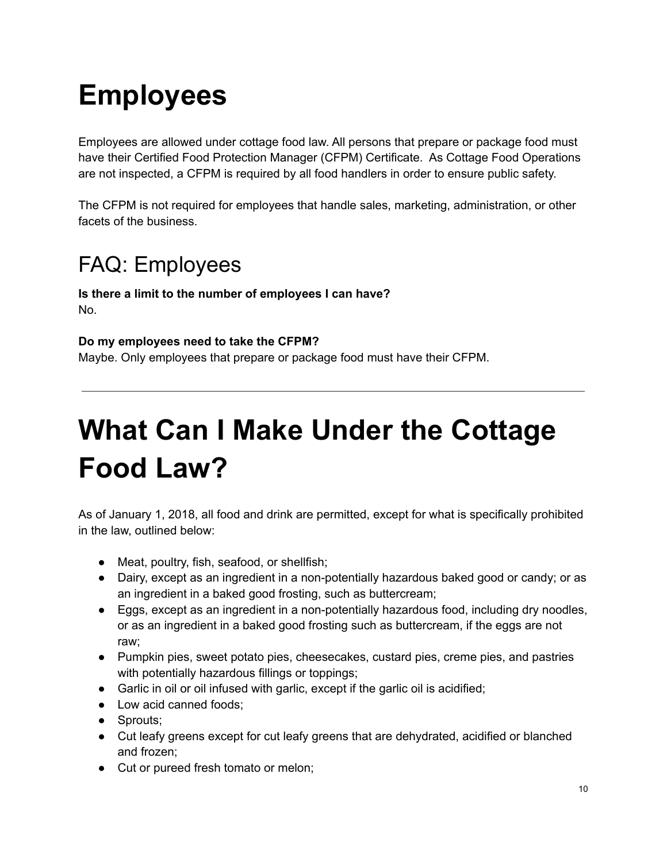# **Employees**

Employees are allowed under cottage food law. All persons that prepare or package food must have their Certified Food Protection Manager (CFPM) Certificate. As Cottage Food Operations are not inspected, a CFPM is required by all food handlers in order to ensure public safety.

The CFPM is not required for employees that handle sales, marketing, administration, or other facets of the business.

## FAQ: Employees

**Is there a limit to the number of employees I can have?** No.

### **Do my employees need to take the CFPM?**

Maybe. Only employees that prepare or package food must have their CFPM.

# **What Can I Make Under the Cottage Food Law?**

As of January 1, 2018, all food and drink are permitted, except for what is specifically prohibited in the law, outlined below:

- Meat, poultry, fish, seafood, or shellfish;
- Dairy, except as an ingredient in a non-potentially hazardous baked good or candy; or as an ingredient in a baked good frosting, such as buttercream;
- Eggs, except as an ingredient in a non-potentially hazardous food, including dry noodles, or as an ingredient in a baked good frosting such as buttercream, if the eggs are not raw;
- Pumpkin pies, sweet potato pies, cheesecakes, custard pies, creme pies, and pastries with potentially hazardous fillings or toppings;
- Garlic in oil or oil infused with garlic, except if the garlic oil is acidified;
- Low acid canned foods;
- Sprouts;
- Cut leafy greens except for cut leafy greens that are dehydrated, acidified or blanched and frozen;
- Cut or pureed fresh tomato or melon;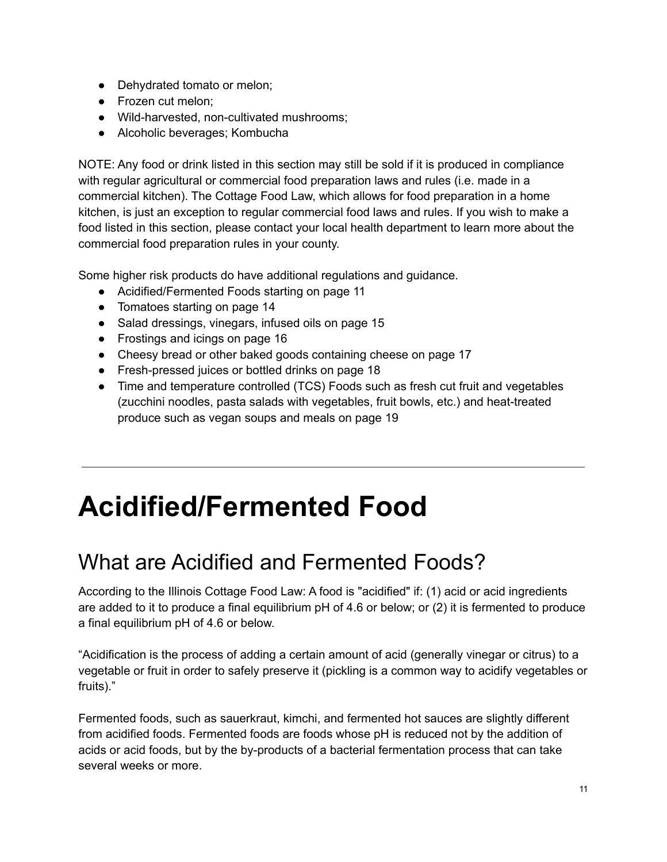- Dehydrated tomato or melon;
- Frozen cut melon;
- Wild-harvested, non-cultivated mushrooms;
- Alcoholic beverages; Kombucha

NOTE: Any food or drink listed in this section may still be sold if it is produced in compliance with regular agricultural or commercial food preparation laws and rules (i.e. made in a commercial kitchen). The Cottage Food Law, which allows for food preparation in a home kitchen, is just an exception to regular commercial food laws and rules. If you wish to make a food listed in this section, please contact your local health department to learn more about the commercial food preparation rules in your county.

Some higher risk products do have additional regulations and guidance.

- Acidified/Fermented Foods starting on page 11
- Tomatoes starting on page 14
- Salad dressings, vinegars, infused oils on page 15
- Frostings and icings on page 16
- Cheesy bread or other baked goods containing cheese on page 17
- Fresh-pressed juices or bottled drinks on page 18
- Time and temperature controlled (TCS) Foods such as fresh cut fruit and vegetables (zucchini noodles, pasta salads with vegetables, fruit bowls, etc.) and heat-treated produce such as vegan soups and meals on page 19

## **Acidified/Fermented Food**

## What are Acidified and Fermented Foods?

According to the Illinois Cottage Food Law: A food is "acidified" if: (1) acid or acid ingredients are added to it to produce a final equilibrium pH of 4.6 or below; or (2) it is fermented to produce a final equilibrium pH of 4.6 or below.

"Acidification is the process of adding a certain amount of acid (generally vinegar or citrus) to a vegetable or fruit in order to safely preserve it (pickling is a common way to acidify vegetables or fruits)."

Fermented foods, such as sauerkraut, kimchi, and fermented hot sauces are slightly different from acidified foods. Fermented foods are foods whose pH is reduced not by the addition of acids or acid foods, but by the by-products of a bacterial fermentation process that can take several weeks or more.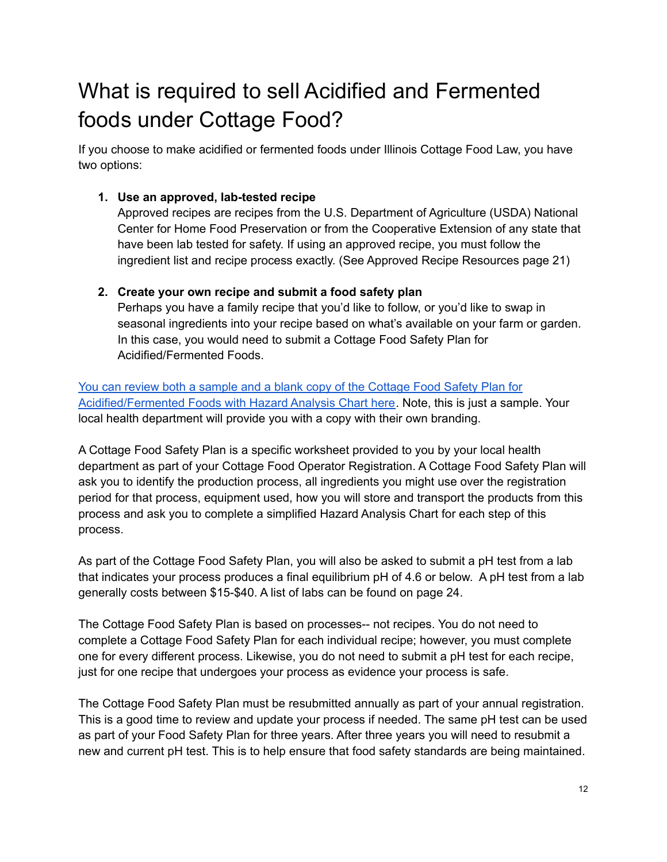## What is required to sell Acidified and Fermented foods under Cottage Food?

If you choose to make acidified or fermented foods under Illinois Cottage Food Law, you have two options:

### **1. Use an approved, lab-tested recipe**

Approved recipes are recipes from the U.S. Department of Agriculture (USDA) National Center for Home Food Preservation or from the Cooperative Extension of any state that have been lab tested for safety. If using an approved recipe, you must follow the ingredient list and recipe process exactly. (See Approved Recipe Resources page 21)

### **2. Create your own recipe and submit a food safety plan**

Perhaps you have a family recipe that you'd like to follow, or you'd like to swap in seasonal ingredients into your recipe based on what's available on your farm or garden. In this case, you would need to submit a Cottage Food Safety Plan for Acidified/Fermented Foods.

You can review both a sample and a blank copy of the [Cottage](https://drive.google.com/drive/folders/1c5AhSV98NPGUTzTvsfL6qHe9FRKi3s58?usp=sharing) Food Safety Plan for [Acidified/Fermented](https://drive.google.com/drive/folders/1c5AhSV98NPGUTzTvsfL6qHe9FRKi3s58?usp=sharing) Foods with Hazard Analysis Chart here. Note, this is just a sample. Your local health department will provide you with a copy with their own branding.

A Cottage Food Safety Plan is a specific worksheet provided to you by your local health department as part of your Cottage Food Operator Registration. A Cottage Food Safety Plan will ask you to identify the production process, all ingredients you might use over the registration period for that process, equipment used, how you will store and transport the products from this process and ask you to complete a simplified Hazard Analysis Chart for each step of this process.

As part of the Cottage Food Safety Plan, you will also be asked to submit a pH test from a lab that indicates your process produces a final equilibrium pH of 4.6 or below. A pH test from a lab generally costs between \$15-\$40. A list of labs can be found on page 24.

The Cottage Food Safety Plan is based on processes-- not recipes. You do not need to complete a Cottage Food Safety Plan for each individual recipe; however, you must complete one for every different process. Likewise, you do not need to submit a pH test for each recipe, just for one recipe that undergoes your process as evidence your process is safe.

The Cottage Food Safety Plan must be resubmitted annually as part of your annual registration. This is a good time to review and update your process if needed. The same pH test can be used as part of your Food Safety Plan for three years. After three years you will need to resubmit a new and current pH test. This is to help ensure that food safety standards are being maintained.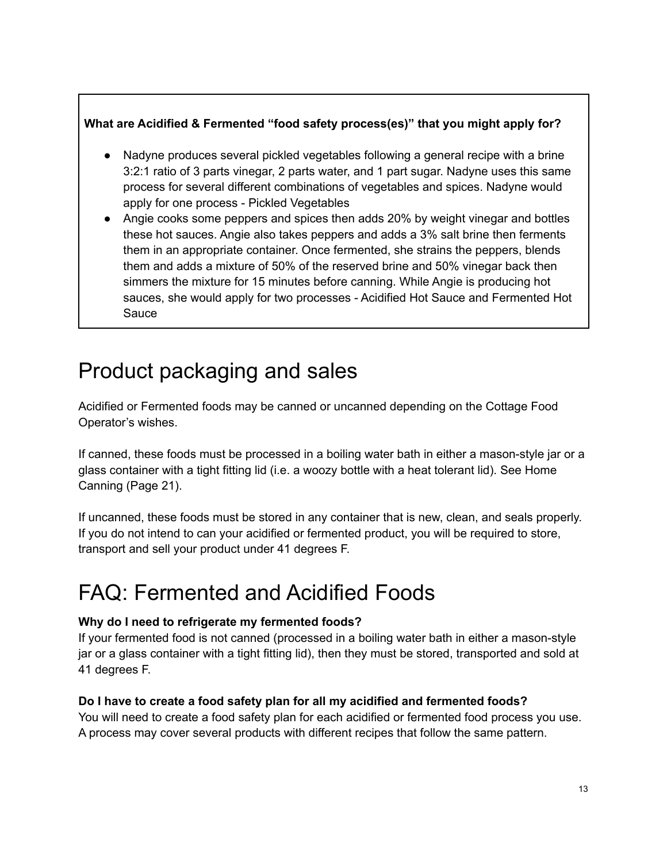### **What are Acidified & Fermented "food safety process(es)" that you might apply for?**

- Nadyne produces several pickled vegetables following a general recipe with a brine 3:2:1 ratio of 3 parts vinegar, 2 parts water, and 1 part sugar. Nadyne uses this same process for several different combinations of vegetables and spices. Nadyne would apply for one process - Pickled Vegetables
- Angie cooks some peppers and spices then adds 20% by weight vinegar and bottles these hot sauces. Angie also takes peppers and adds a 3% salt brine then ferments them in an appropriate container. Once fermented, she strains the peppers, blends them and adds a mixture of 50% of the reserved brine and 50% vinegar back then simmers the mixture for 15 minutes before canning. While Angie is producing hot sauces, she would apply for two processes - Acidified Hot Sauce and Fermented Hot **Sauce**

## Product packaging and sales

Acidified or Fermented foods may be canned or uncanned depending on the Cottage Food Operator's wishes.

If canned, these foods must be processed in a boiling water bath in either a mason-style jar or a glass container with a tight fitting lid (i.e. a woozy bottle with a heat tolerant lid). See Home Canning (Page 21).

If uncanned, these foods must be stored in any container that is new, clean, and seals properly. If you do not intend to can your acidified or fermented product, you will be required to store, transport and sell your product under 41 degrees F.

## FAQ: Fermented and Acidified Foods

### **Why do I need to refrigerate my fermented foods?**

If your fermented food is not canned (processed in a boiling water bath in either a mason-style jar or a glass container with a tight fitting lid), then they must be stored, transported and sold at 41 degrees F.

### **Do I have to create a food safety plan for all my acidified and fermented foods?**

You will need to create a food safety plan for each acidified or fermented food process you use. A process may cover several products with different recipes that follow the same pattern.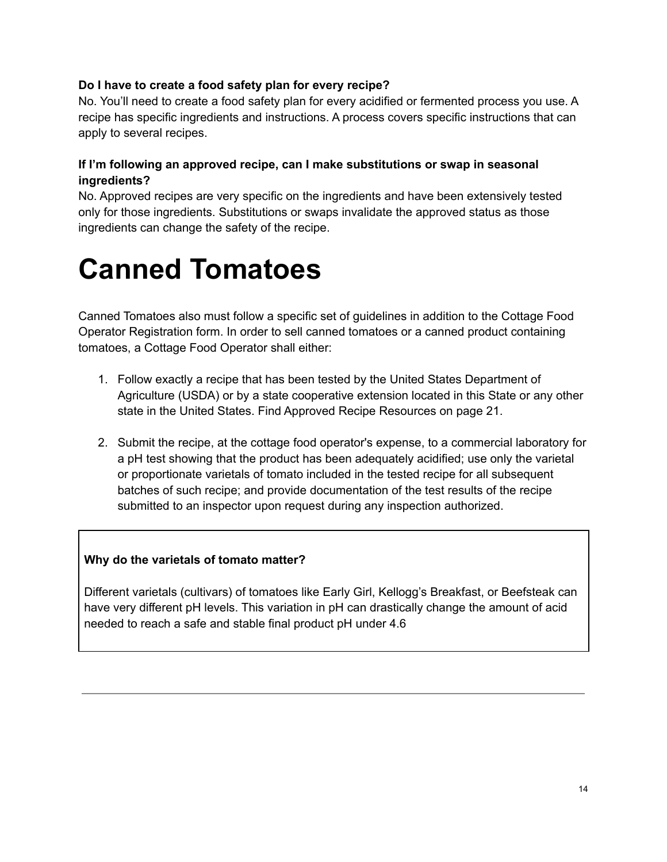### **Do I have to create a food safety plan for every recipe?**

No. You'll need to create a food safety plan for every acidified or fermented process you use. A recipe has specific ingredients and instructions. A process covers specific instructions that can apply to several recipes.

### **If I'm following an approved recipe, can I make substitutions or swap in seasonal ingredients?**

No. Approved recipes are very specific on the ingredients and have been extensively tested only for those ingredients. Substitutions or swaps invalidate the approved status as those ingredients can change the safety of the recipe.

## **Canned Tomatoes**

Canned Tomatoes also must follow a specific set of guidelines in addition to the Cottage Food Operator Registration form. In order to sell canned tomatoes or a canned product containing tomatoes, a Cottage Food Operator shall either:

- 1. Follow exactly a recipe that has been tested by the United States Department of Agriculture (USDA) or by a state cooperative extension located in this State or any other state in the United States. Find Approved Recipe Resources on page 21.
- 2. Submit the recipe, at the cottage food operator's expense, to a commercial laboratory for a pH test showing that the product has been adequately acidified; use only the varietal or proportionate varietals of tomato included in the tested recipe for all subsequent batches of such recipe; and provide documentation of the test results of the recipe submitted to an inspector upon request during any inspection authorized.

### **Why do the varietals of tomato matter?**

Different varietals (cultivars) of tomatoes like Early Girl, Kellogg's Breakfast, or Beefsteak can have very different pH levels. This variation in pH can drastically change the amount of acid needed to reach a safe and stable final product pH under 4.6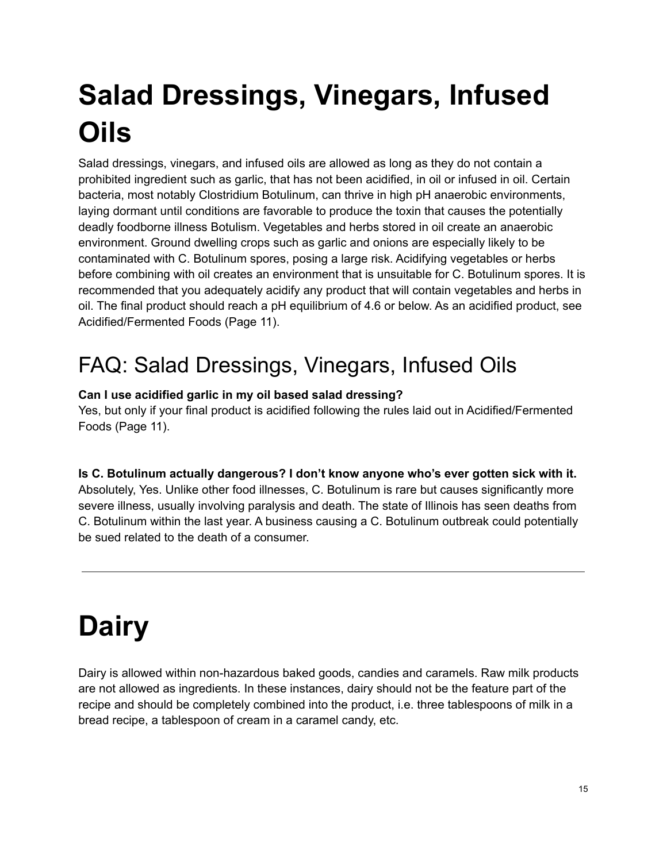# **Salad Dressings, Vinegars, Infused Oils**

Salad dressings, vinegars, and infused oils are allowed as long as they do not contain a prohibited ingredient such as garlic, that has not been acidified, in oil or infused in oil. Certain bacteria, most notably Clostridium Botulinum, can thrive in high pH anaerobic environments, laying dormant until conditions are favorable to produce the toxin that causes the potentially deadly foodborne illness Botulism. Vegetables and herbs stored in oil create an anaerobic environment. Ground dwelling crops such as garlic and onions are especially likely to be contaminated with C. Botulinum spores, posing a large risk. Acidifying vegetables or herbs before combining with oil creates an environment that is unsuitable for C. Botulinum spores. It is recommended that you adequately acidify any product that will contain vegetables and herbs in oil. The final product should reach a pH equilibrium of 4.6 or below. As an acidified product, see Acidified/Fermented Foods (Page 11).

## FAQ: Salad Dressings, Vinegars, Infused Oils

### **Can I use acidified garlic in my oil based salad dressing?**

Yes, but only if your final product is acidified following the rules laid out in Acidified/Fermented Foods (Page 11).

### **Is C. Botulinum actually dangerous? I don't know anyone who's ever gotten sick with it.**

Absolutely, Yes. Unlike other food illnesses, C. Botulinum is rare but causes significantly more severe illness, usually involving paralysis and death. The state of Illinois has seen deaths from C. Botulinum within the last year. A business causing a C. Botulinum outbreak could potentially be sued related to the death of a consumer.

# **Dairy**

Dairy is allowed within non-hazardous baked goods, candies and caramels. Raw milk products are not allowed as ingredients. In these instances, dairy should not be the feature part of the recipe and should be completely combined into the product, i.e. three tablespoons of milk in a bread recipe, a tablespoon of cream in a caramel candy, etc.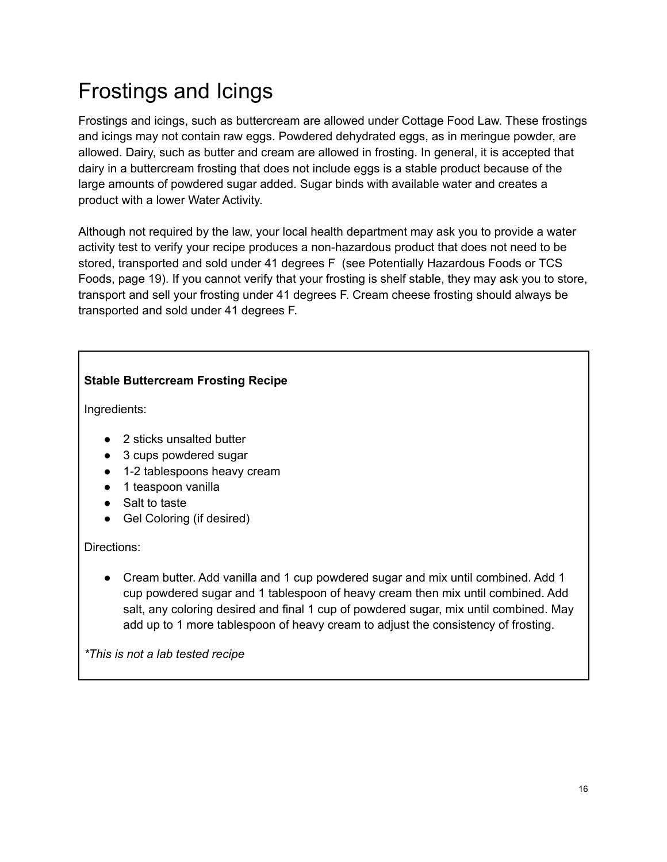## Frostings and Icings

Frostings and icings, such as buttercream are allowed under Cottage Food Law. These frostings and icings may not contain raw eggs. Powdered dehydrated eggs, as in meringue powder, are allowed. Dairy, such as butter and cream are allowed in frosting. In general, it is accepted that dairy in a buttercream frosting that does not include eggs is a stable product because of the large amounts of powdered sugar added. Sugar binds with available water and creates a product with a lower Water Activity.

Although not required by the law, your local health department may ask you to provide a water activity test to verify your recipe produces a non-hazardous product that does not need to be stored, transported and sold under 41 degrees F (see Potentially Hazardous Foods or TCS Foods, page 19). If you cannot verify that your frosting is shelf stable, they may ask you to store, transport and sell your frosting under 41 degrees F. Cream cheese frosting should always be transported and sold under 41 degrees F.

### **Stable Buttercream Frosting Recipe**

Ingredients:

- 2 sticks unsalted butter
- 3 cups powdered sugar
- 1-2 tablespoons heavy cream
- 1 teaspoon vanilla
- Salt to taste
- Gel Coloring (if desired)

### Directions:

● Cream butter. Add vanilla and 1 cup powdered sugar and mix until combined. Add 1 cup powdered sugar and 1 tablespoon of heavy cream then mix until combined. Add salt, any coloring desired and final 1 cup of powdered sugar, mix until combined. May add up to 1 more tablespoon of heavy cream to adjust the consistency of frosting.

*\*This is not a lab tested recipe*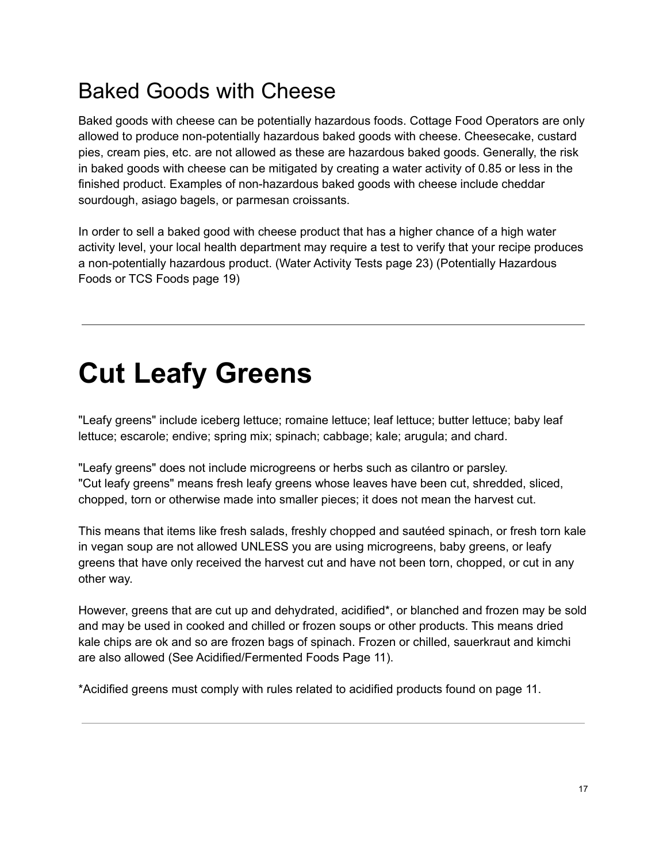### Baked Goods with Cheese

Baked goods with cheese can be potentially hazardous foods. Cottage Food Operators are only allowed to produce non-potentially hazardous baked goods with cheese. Cheesecake, custard pies, cream pies, etc. are not allowed as these are hazardous baked goods. Generally, the risk in baked goods with cheese can be mitigated by creating a water activity of 0.85 or less in the finished product. Examples of non-hazardous baked goods with cheese include cheddar sourdough, asiago bagels, or parmesan croissants.

In order to sell a baked good with cheese product that has a higher chance of a high water activity level, your local health department may require a test to verify that your recipe produces a non-potentially hazardous product. (Water Activity Tests page 23) (Potentially Hazardous Foods or TCS Foods page 19)

## **Cut Leafy Greens**

"Leafy greens" include iceberg lettuce; romaine lettuce; leaf lettuce; butter lettuce; baby leaf lettuce; escarole; endive; spring mix; spinach; cabbage; kale; arugula; and chard.

"Leafy greens" does not include microgreens or herbs such as cilantro or parsley. "Cut leafy greens" means fresh leafy greens whose leaves have been cut, shredded, sliced, chopped, torn or otherwise made into smaller pieces; it does not mean the harvest cut.

This means that items like fresh salads, freshly chopped and sautéed spinach, or fresh torn kale in vegan soup are not allowed UNLESS you are using microgreens, baby greens, or leafy greens that have only received the harvest cut and have not been torn, chopped, or cut in any other way.

However, greens that are cut up and dehydrated, acidified\*, or blanched and frozen may be sold and may be used in cooked and chilled or frozen soups or other products. This means dried kale chips are ok and so are frozen bags of spinach. Frozen or chilled, sauerkraut and kimchi are also allowed (See Acidified/Fermented Foods Page 11).

\*Acidified greens must comply with rules related to acidified products found on page 11.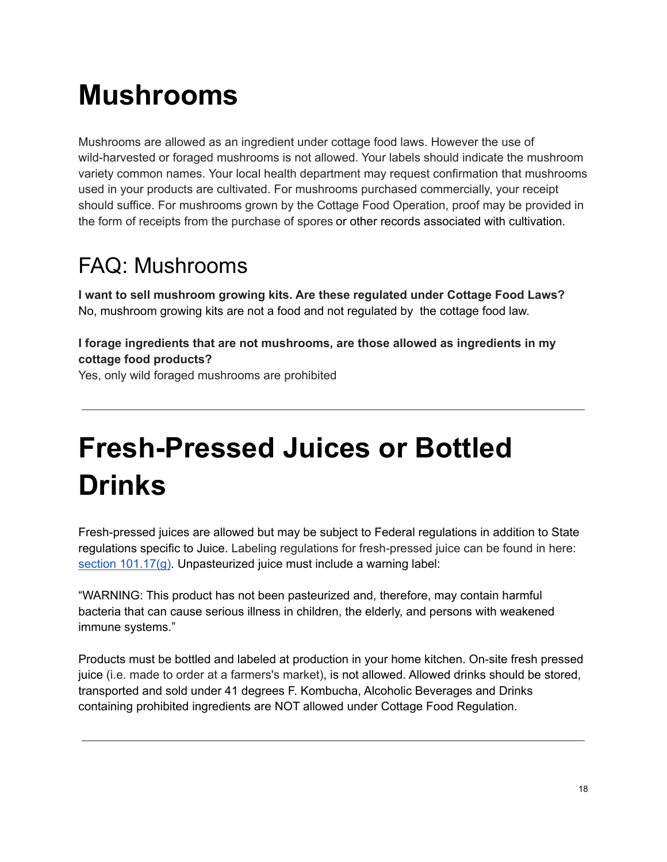# **Mushrooms**

Mushrooms are allowed as an ingredient under cottage food laws. However the use of wild-harvested or foraged mushrooms is not allowed. Your labels should indicate the mushroom variety common names. Your local health department may request confirmation that mushrooms used in your products are cultivated. For mushrooms purchased commercially, your receipt should suffice. For mushrooms grown by the Cottage Food Operation, proof may be provided in the form of receipts from the purchase of spores or other records associated with cultivation.

## FAQ: Mushrooms

**I want to sell mushroom growing kits. Are these regulated under Cottage Food Laws?** No, mushroom growing kits are not a food and not regulated by the cottage food law.

**I forage ingredients that are not mushrooms, are those allowed as ingredients in my cottage food products?**

Yes, only wild foraged mushrooms are prohibited

# **Fresh-Pressed Juices or Bottled Drinks**

Fresh-pressed juices are allowed but may be subject to Federal regulations in addition to State regulations specific to Juice. Labeling regulations for fresh-pressed juice can be found in here[:](https://www.ecfr.gov/current/title-21/chapter-I/subchapter-B/part-101) section [101.17\(g\).](https://www.ecfr.gov/current/title-21/chapter-I/subchapter-B/part-101) Unpasteurized juice must include a warning label:

"WARNING: This product has not been pasteurized and, therefore, may contain harmful bacteria that can cause serious illness in children, the elderly, and persons with weakened immune systems."

Products must be bottled and labeled at production in your home kitchen. On-site fresh pressed juice (i.e. made to order at a farmers's market), is not allowed. Allowed drinks should be stored, transported and sold under 41 degrees F. Kombucha, Alcoholic Beverages and Drinks containing prohibited ingredients are NOT allowed under Cottage Food Regulation.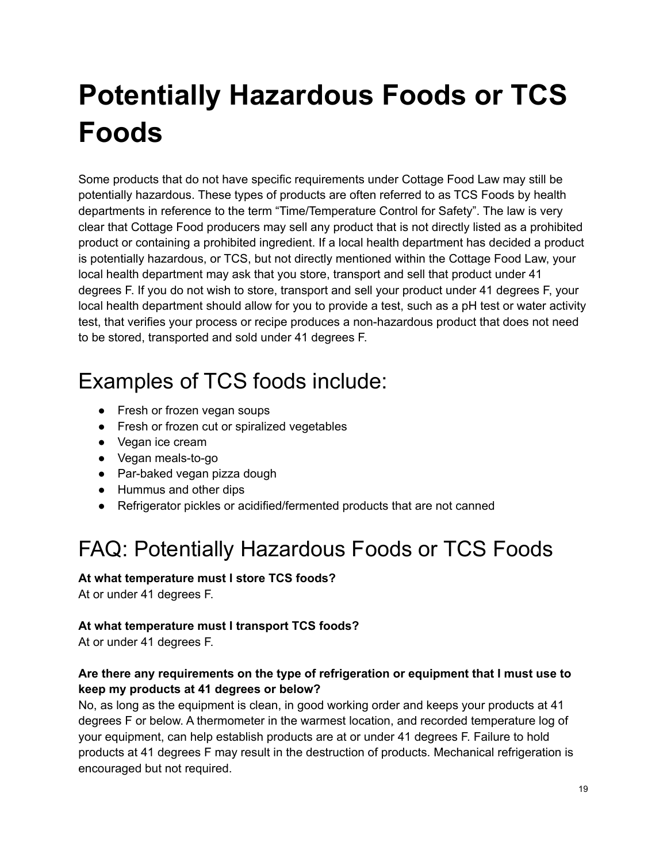# **Potentially Hazardous Foods or TCS Foods**

Some products that do not have specific requirements under Cottage Food Law may still be potentially hazardous. These types of products are often referred to as TCS Foods by health departments in reference to the term "Time/Temperature Control for Safety". The law is very clear that Cottage Food producers may sell any product that is not directly listed as a prohibited product or containing a prohibited ingredient. If a local health department has decided a product is potentially hazardous, or TCS, but not directly mentioned within the Cottage Food Law, your local health department may ask that you store, transport and sell that product under 41 degrees F. If you do not wish to store, transport and sell your product under 41 degrees F, your local health department should allow for you to provide a test, such as a pH test or water activity test, that verifies your process or recipe produces a non-hazardous product that does not need to be stored, transported and sold under 41 degrees F.

## Examples of TCS foods include:

- Fresh or frozen vegan soups
- Fresh or frozen cut or spiralized vegetables
- Vegan ice cream
- Vegan meals-to-go
- Par-baked vegan pizza dough
- Hummus and other dips
- Refrigerator pickles or acidified/fermented products that are not canned

## FAQ: Potentially Hazardous Foods or TCS Foods

### **At what temperature must I store TCS foods?**

At or under 41 degrees F.

### **At what temperature must I transport TCS foods?**

At or under 41 degrees F.

### **Are there any requirements on the type of refrigeration or equipment that I must use to keep my products at 41 degrees or below?**

No, as long as the equipment is clean, in good working order and keeps your products at 41 degrees F or below. A thermometer in the warmest location, and recorded temperature log of your equipment, can help establish products are at or under 41 degrees F. Failure to hold products at 41 degrees F may result in the destruction of products. Mechanical refrigeration is encouraged but not required.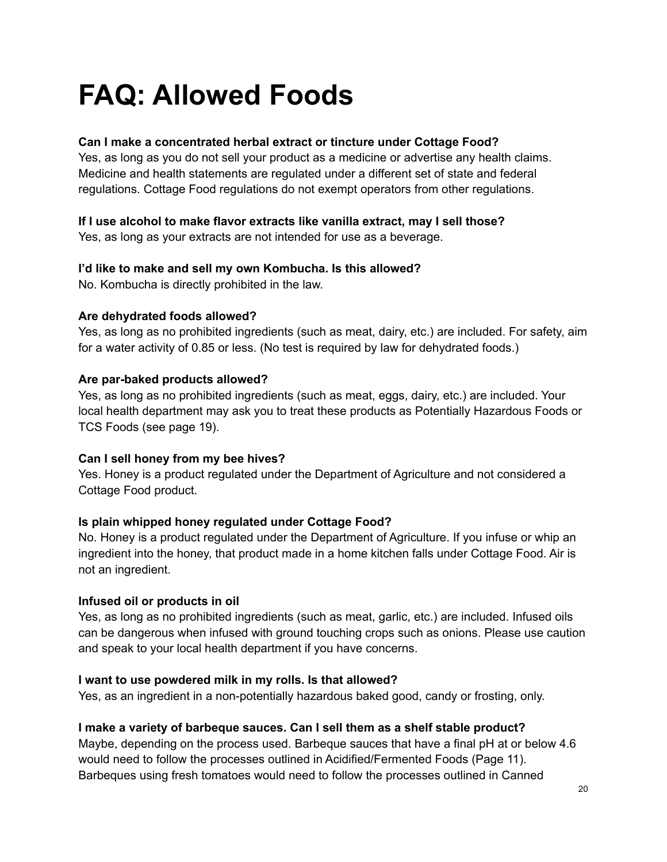# **FAQ: Allowed Foods**

### **Can I make a concentrated herbal extract or tincture under Cottage Food?**

Yes, as long as you do not sell your product as a medicine or advertise any health claims. Medicine and health statements are regulated under a different set of state and federal regulations. Cottage Food regulations do not exempt operators from other regulations.

### **If I use alcohol to make flavor extracts like vanilla extract, may I sell those?**

Yes, as long as your extracts are not intended for use as a beverage.

### **I'd like to make and sell my own Kombucha. Is this allowed?**

No. Kombucha is directly prohibited in the law.

### **Are dehydrated foods allowed?**

Yes, as long as no prohibited ingredients (such as meat, dairy, etc.) are included. For safety, aim for a water activity of 0.85 or less. (No test is required by law for dehydrated foods.)

### **Are par-baked products allowed?**

Yes, as long as no prohibited ingredients (such as meat, eggs, dairy, etc.) are included. Your local health department may ask you to treat these products as Potentially Hazardous Foods or TCS Foods (see page 19).

### **Can I sell honey from my bee hives?**

Yes. Honey is a product regulated under the Department of Agriculture and not considered a Cottage Food product.

### **Is plain whipped honey regulated under Cottage Food?**

No. Honey is a product regulated under the Department of Agriculture. If you infuse or whip an ingredient into the honey, that product made in a home kitchen falls under Cottage Food. Air is not an ingredient.

### **Infused oil or products in oil**

Yes, as long as no prohibited ingredients (such as meat, garlic, etc.) are included. Infused oils can be dangerous when infused with ground touching crops such as onions. Please use caution and speak to your local health department if you have concerns.

### **I want to use powdered milk in my rolls. Is that allowed?**

Yes, as an ingredient in a non-potentially hazardous baked good, candy or frosting, only.

### **I make a variety of barbeque sauces. Can I sell them as a shelf stable product?**

Maybe, depending on the process used. Barbeque sauces that have a final pH at or below 4.6 would need to follow the processes outlined in Acidified/Fermented Foods (Page 11). Barbeques using fresh tomatoes would need to follow the processes outlined in Canned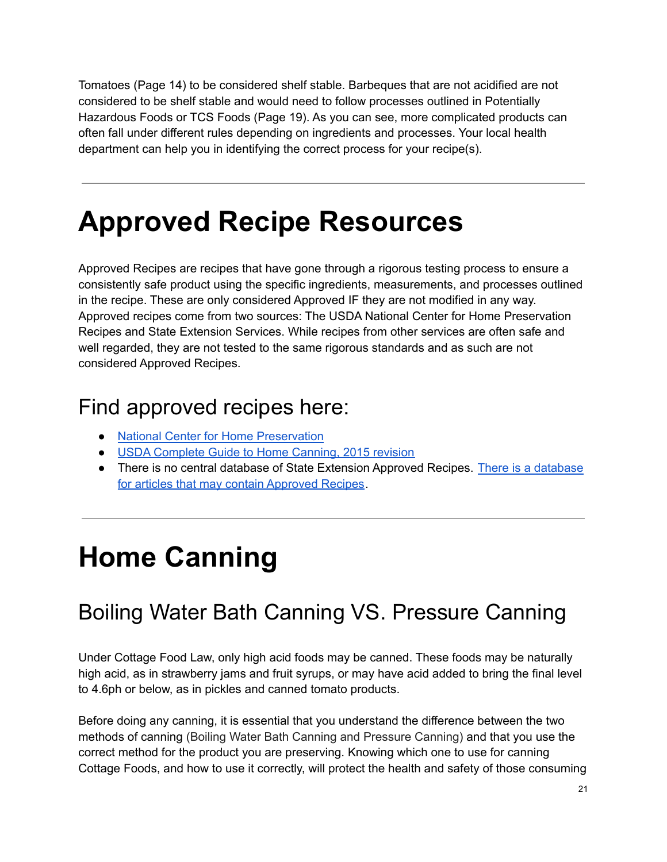Tomatoes (Page 14) to be considered shelf stable. Barbeques that are not acidified are not considered to be shelf stable and would need to follow processes outlined in Potentially Hazardous Foods or TCS Foods (Page 19). As you can see, more complicated products can often fall under different rules depending on ingredients and processes. Your local health department can help you in identifying the correct process for your recipe(s).

## **Approved Recipe Resources**

Approved Recipes are recipes that have gone through a rigorous testing process to ensure a consistently safe product using the specific ingredients, measurements, and processes outlined in the recipe. These are only considered Approved IF they are not modified in any way. Approved recipes come from two sources: The USDA National Center for Home Preservation Recipes and State Extension Services. While recipes from other services are often safe and well regarded, they are not tested to the same rigorous standards and as such are not considered Approved Recipes.

### Find approved recipes here:

- National Center for Home [Preservation](https://nchfp.uga.edu/)
- USDA [Complete](https://nchfp.uga.edu/publications/publications_usda.html) Guide to Home Canning, 2015 revision
- There is no central [database](https://extension.org/search/) of State Extension Approved Recipes. There is a database for articles that may contain [Approved](https://extension.org/search/) Recipes.

## **Home Canning**

## Boiling Water Bath Canning VS. Pressure Canning

Under Cottage Food Law, only high acid foods may be canned. These foods may be naturally high acid, as in strawberry jams and fruit syrups, or may have acid added to bring the final level to 4.6ph or below, as in pickles and canned tomato products.

Before doing any canning, it is essential that you understand the difference between the two methods of canning (Boiling Water Bath Canning and Pressure Canning) and that you use the correct method for the product you are preserving. Knowing which one to use for canning Cottage Foods, and how to use it correctly, will protect the health and safety of those consuming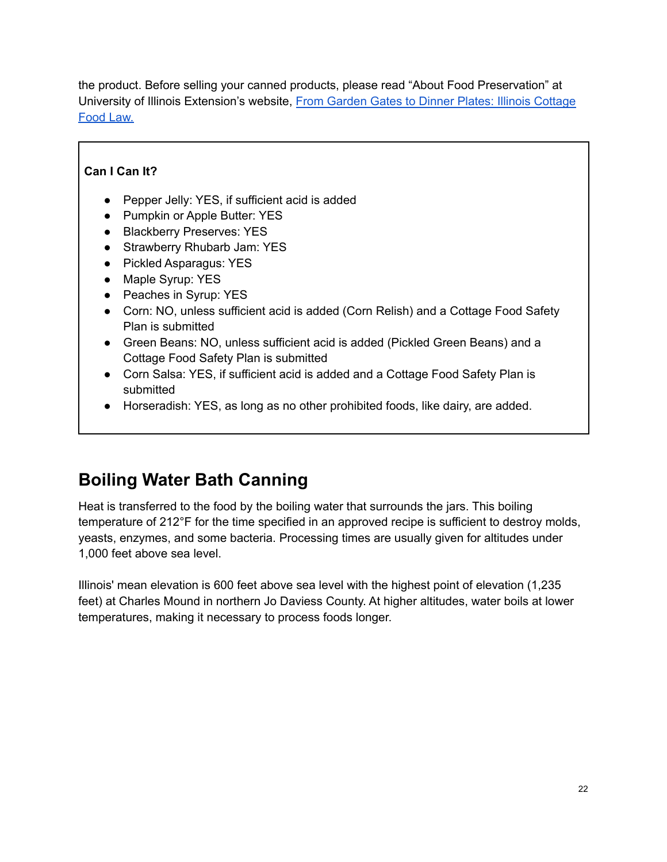the product. Before selling your canned products, please read "About Food Preservation" at University of Illinois Extension's website, From Garden Gates to Dinner Plates: Illinois [Cottage](https://extension.illinois.edu/food/selling-food) [Food](https://extension.illinois.edu/food/selling-food) Law.

### **Can I Can It?**

- Pepper Jelly: YES, if sufficient acid is added
- Pumpkin or Apple Butter: YES
- Blackberry Preserves: YES
- Strawberry Rhubarb Jam: YES
- Pickled Asparagus: YES
- Maple Syrup: YES
- Peaches in Syrup: YES
- Corn: NO, unless sufficient acid is added (Corn Relish) and a Cottage Food Safety Plan is submitted
- Green Beans: NO, unless sufficient acid is added (Pickled Green Beans) and a Cottage Food Safety Plan is submitted
- Corn Salsa: YES, if sufficient acid is added and a Cottage Food Safety Plan is submitted
- Horseradish: YES, as long as no other prohibited foods, like dairy, are added.

### **Boiling Water Bath Canning**

Heat is transferred to the food by the boiling water that surrounds the jars. This boiling temperature of 212°F for the time specified in an approved recipe is sufficient to destroy molds, yeasts, enzymes, and some bacteria. Processing times are usually given for altitudes under 1,000 feet above sea level.

Illinois' mean elevation is 600 feet above sea level with the highest point of elevation (1,235 feet) at Charles Mound in northern Jo Daviess County. At higher altitudes, water boils at lower temperatures, making it necessary to process foods longer.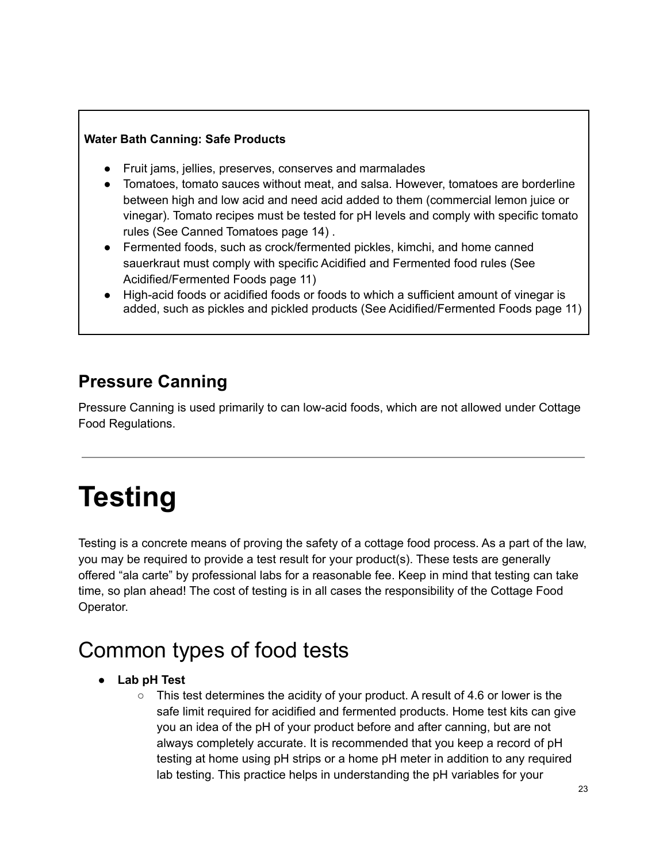### **Water Bath Canning: Safe Products**

- Fruit jams, jellies, preserves, conserves and marmalades
- Tomatoes, tomato sauces without meat, and salsa. However, tomatoes are borderline between high and low acid and need acid added to them (commercial lemon juice or vinegar). Tomato recipes must be tested for pH levels and comply with specific tomato rules (See Canned Tomatoes page 14) .
- Fermented foods, such as crock/fermented pickles, kimchi, and home canned sauerkraut must comply with specific Acidified and Fermented food rules (See Acidified/Fermented Foods page 11)
- High-acid foods or acidified foods or foods to which a sufficient amount of vinegar is added, such as pickles and pickled products (See Acidified/Fermented Foods page 11)

### **Pressure Canning**

Pressure Canning is used primarily to can low-acid foods, which are not allowed under Cottage Food Regulations.

# **Testing**

Testing is a concrete means of proving the safety of a cottage food process. As a part of the law, you may be required to provide a test result for your product(s). These tests are generally offered "ala carte" by professional labs for a reasonable fee. Keep in mind that testing can take time, so plan ahead! The cost of testing is in all cases the responsibility of the Cottage Food Operator.

## Common types of food tests

- **● Lab pH Test**
	- $\circ$  This test determines the acidity of your product. A result of 4.6 or lower is the safe limit required for acidified and fermented products. Home test kits can give you an idea of the pH of your product before and after canning, but are not always completely accurate. It is recommended that you keep a record of pH testing at home using pH strips or a home pH meter in addition to any required lab testing. This practice helps in understanding the pH variables for your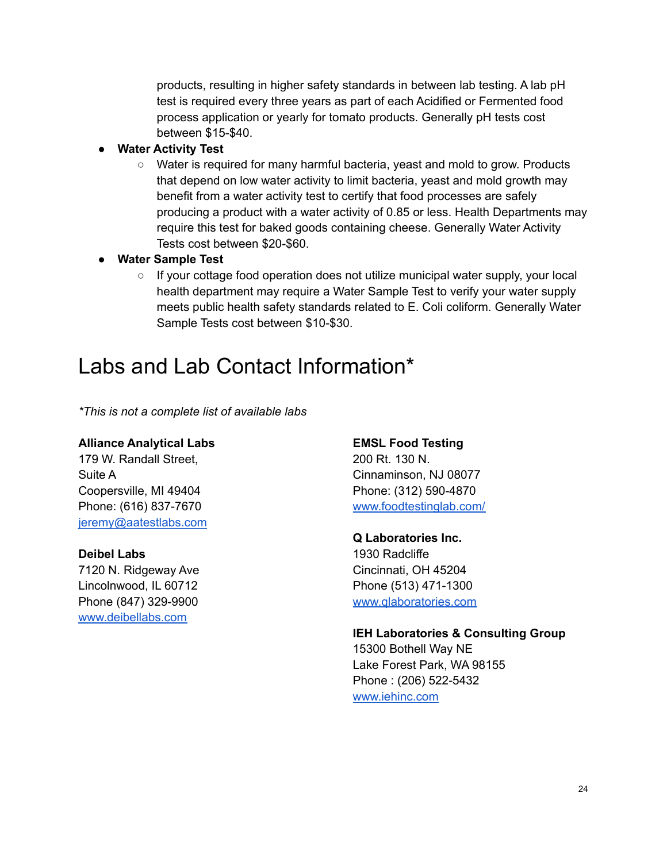products, resulting in higher safety standards in between lab testing. A lab pH test is required every three years as part of each Acidified or Fermented food process application or yearly for tomato products. Generally pH tests cost between \$15-\$40.

- **● Water Activity Test**
	- Water is required for many harmful bacteria, yeast and mold to grow. Products that depend on low water activity to limit bacteria, yeast and mold growth may benefit from a water activity test to certify that food processes are safely producing a product with a water activity of 0.85 or less. Health Departments may require this test for baked goods containing cheese. Generally Water Activity Tests cost between \$20-\$60.
- **● Water Sample Test**
	- If your cottage food operation does not utilize municipal water supply, your local health department may require a Water Sample Test to verify your water supply meets public health safety standards related to E. Coli coliform. Generally Water Sample Tests cost between \$10-\$30.

### Labs and Lab Contact Information\*

*\*This is not a complete list of available labs*

### **Alliance Analytical Labs**

179 W. Randall Street, Suite A Coopersville, MI 49404 Phone: (616) 837-7670 [jeremy@aatestlabs.com](mailto:jeremy@aatestlabs.com)

### **Deibel Labs**

7120 N. Ridgeway Ave Lincolnwood, IL 60712 Phone (847) 329-9900 [www.deibellabs.com](http://www.deibellabs.com)

#### **EMSL Food Testing**

200 Rt. 130 N. Cinnaminson, NJ 08077 Phone: (312) 590-4870 [www.foodtestinglab.com/](http://www.foodtestinglab.com/)

#### **Q Laboratories Inc.**

1930 Radcliffe Cincinnati, OH 45204 Phone (513) 471-1300 [www.qlaboratories.com](http://www.qlaboratories.com)

### **IEH Laboratories & Consulting Group**

15300 Bothell Way NE Lake Forest Park, WA 98155 Phone : (206) 522-5432 [www.iehinc.com](http://www.iehinc.com)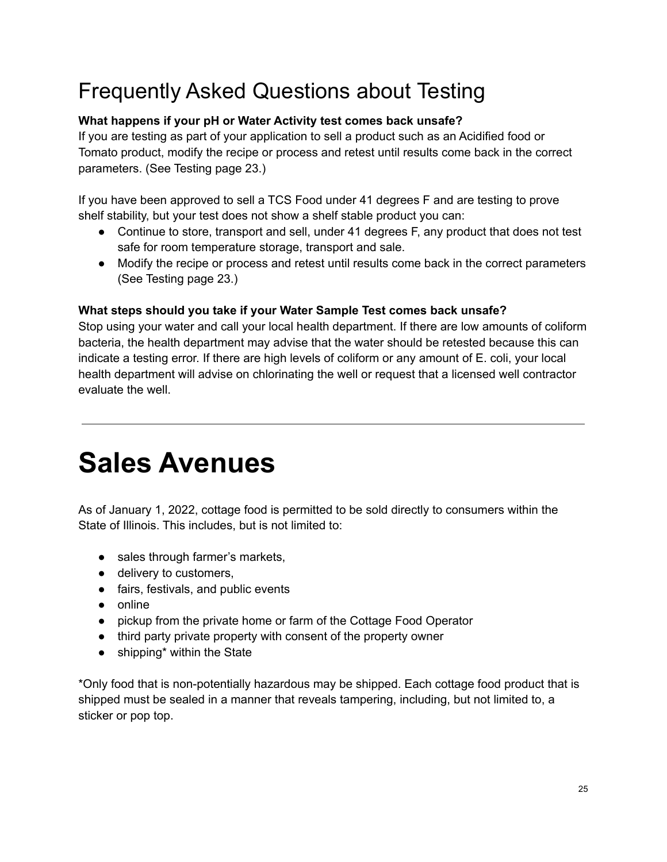## Frequently Asked Questions about Testing

### **What happens if your pH or Water Activity test comes back unsafe?**

If you are testing as part of your application to sell a product such as an Acidified food or Tomato product, modify the recipe or process and retest until results come back in the correct parameters. (See Testing page 23.)

If you have been approved to sell a TCS Food under 41 degrees F and are testing to prove shelf stability, but your test does not show a shelf stable product you can:

- Continue to store, transport and sell, under 41 degrees F, any product that does not test safe for room temperature storage, transport and sale.
- Modify the recipe or process and retest until results come back in the correct parameters (See Testing page 23.)

### **What steps should you take if your Water Sample Test comes back unsafe?**

Stop using your water and call your local health department. If there are low amounts of coliform bacteria, the health department may advise that the water should be retested because this can indicate a testing error. If there are high levels of coliform or any amount of E. coli, your local health department will advise on chlorinating the well or request that a licensed well contractor evaluate the well.

## **Sales Avenues**

As of January 1, 2022, cottage food is permitted to be sold directly to consumers within the State of Illinois. This includes, but is not limited to:

- sales through farmer's markets,
- delivery to customers,
- fairs, festivals, and public events
- online
- pickup from the private home or farm of the Cottage Food Operator
- third party private property with consent of the property owner
- shipping\* within the State

\*Only food that is non-potentially hazardous may be shipped. Each cottage food product that is shipped must be sealed in a manner that reveals tampering, including, but not limited to, a sticker or pop top.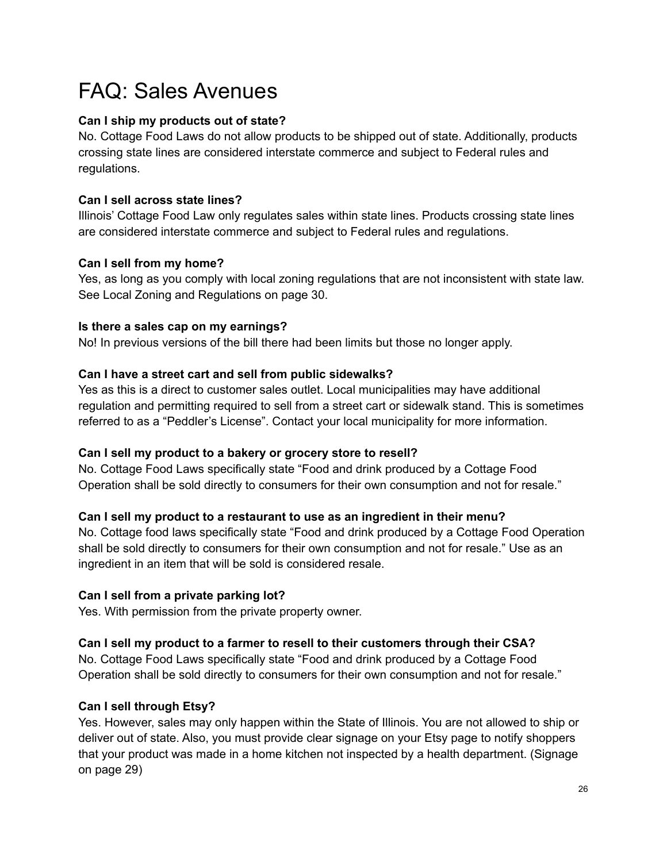## FAQ: Sales Avenues

### **Can I ship my products out of state?**

No. Cottage Food Laws do not allow products to be shipped out of state. Additionally, products crossing state lines are considered interstate commerce and subject to Federal rules and regulations.

### **Can I sell across state lines?**

Illinois' Cottage Food Law only regulates sales within state lines. Products crossing state lines are considered interstate commerce and subject to Federal rules and regulations.

### **Can I sell from my home?**

Yes, as long as you comply with local zoning regulations that are not inconsistent with state law. See Local Zoning and Regulations on page 30.

### **Is there a sales cap on my earnings?**

No! In previous versions of the bill there had been limits but those no longer apply.

### **Can I have a street cart and sell from public sidewalks?**

Yes as this is a direct to customer sales outlet. Local municipalities may have additional regulation and permitting required to sell from a street cart or sidewalk stand. This is sometimes referred to as a "Peddler's License". Contact your local municipality for more information.

### **Can I sell my product to a bakery or grocery store to resell?**

No. Cottage Food Laws specifically state "Food and drink produced by a Cottage Food Operation shall be sold directly to consumers for their own consumption and not for resale."

### **Can I sell my product to a restaurant to use as an ingredient in their menu?**

No. Cottage food laws specifically state "Food and drink produced by a Cottage Food Operation shall be sold directly to consumers for their own consumption and not for resale." Use as an ingredient in an item that will be sold is considered resale.

### **Can I sell from a private parking lot?**

Yes. With permission from the private property owner.

### **Can I sell my product to a farmer to resell to their customers through their CSA?**

No. Cottage Food Laws specifically state "Food and drink produced by a Cottage Food Operation shall be sold directly to consumers for their own consumption and not for resale."

### **Can I sell through Etsy?**

Yes. However, sales may only happen within the State of Illinois. You are not allowed to ship or deliver out of state. Also, you must provide clear signage on your Etsy page to notify shoppers that your product was made in a home kitchen not inspected by a health department. (Signage on page 29)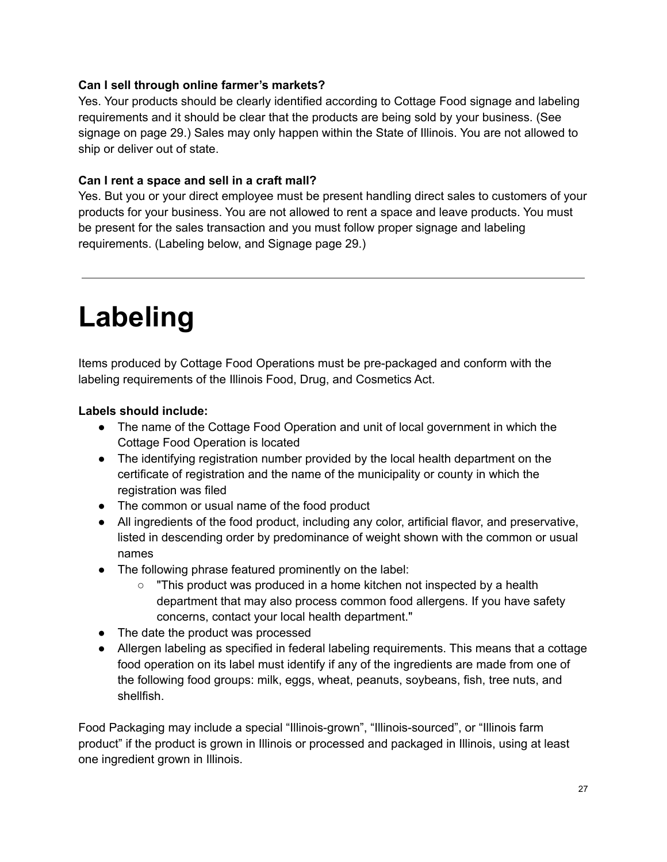### **Can I sell through online farmer's markets?**

Yes. Your products should be clearly identified according to Cottage Food signage and labeling requirements and it should be clear that the products are being sold by your business. (See signage on page 29.) Sales may only happen within the State of Illinois. You are not allowed to ship or deliver out of state.

### **Can I rent a space and sell in a craft mall?**

Yes. But you or your direct employee must be present handling direct sales to customers of your products for your business. You are not allowed to rent a space and leave products. You must be present for the sales transaction and you must follow proper signage and labeling requirements. (Labeling below, and Signage page 29.)

## **Labeling**

Items produced by Cottage Food Operations must be pre-packaged and conform with the labeling requirements of the Illinois Food, Drug, and Cosmetics Act.

### **Labels should include:**

- The name of the Cottage Food Operation and unit of local government in which the Cottage Food Operation is located
- The identifying registration number provided by the local health department on the certificate of registration and the name of the municipality or county in which the registration was filed
- The common or usual name of the food product
- All ingredients of the food product, including any color, artificial flavor, and preservative, listed in descending order by predominance of weight shown with the common or usual names
- The following phrase featured prominently on the label:
	- $\circ$  "This product was produced in a home kitchen not inspected by a health department that may also process common food allergens. If you have safety concerns, contact your local health department."
- The date the product was processed
- Allergen labeling as specified in federal labeling requirements. This means that a cottage food operation on its label must identify if any of the ingredients are made from one of the following food groups: milk, eggs, wheat, peanuts, soybeans, fish, tree nuts, and shellfish.

Food Packaging may include a special "Illinois-grown", "Illinois-sourced", or "Illinois farm product" if the product is grown in Illinois or processed and packaged in Illinois, using at least one ingredient grown in Illinois.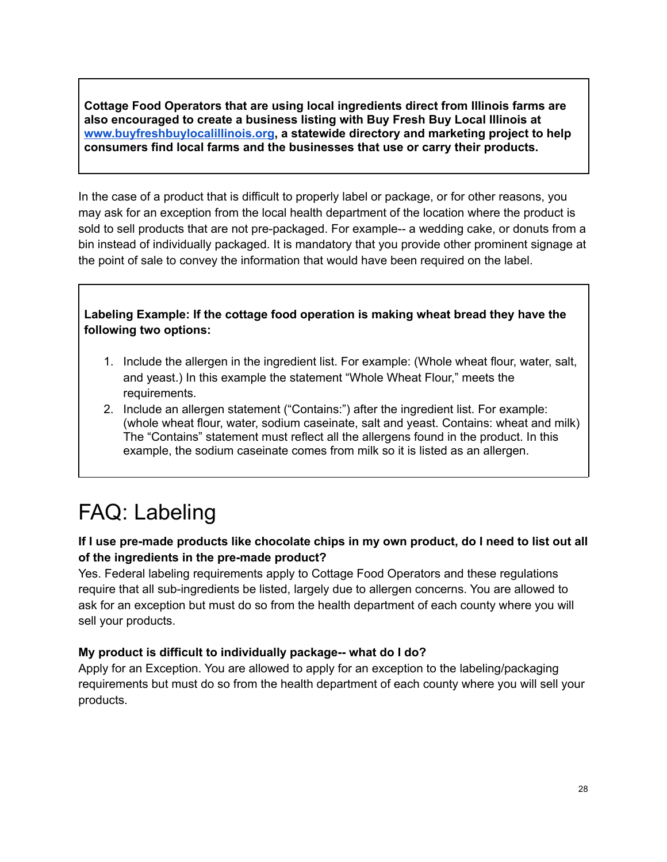**Cottage Food Operators that are using local ingredients direct from Illinois farm[s](http://www.buyfreshbuylocalillinois.org) are also encouraged to create a business listing with Buy Fresh Buy Local Illinois at [www.buyfreshbuylocalillinois.org](http://www.buyfreshbuylocalillinois.org), a statewide directory and marketing project to help consumers find local farms and the businesses that use or carry their products.**

In the case of a product that is difficult to properly label or package, or for other reasons, you may ask for an exception from the local health department of the location where the product is sold to sell products that are not pre-packaged. For example-- a wedding cake, or donuts from a bin instead of individually packaged. It is mandatory that you provide other prominent signage at the point of sale to convey the information that would have been required on the label.

**Labeling Example: If the cottage food operation is making wheat bread they have the following two options:**

- 1. Include the allergen in the ingredient list. For example: (Whole wheat flour, water, salt, and yeast.) In this example the statement "Whole Wheat Flour," meets the requirements.
- 2. Include an allergen statement ("Contains:") after the ingredient list. For example: (whole wheat flour, water, sodium caseinate, salt and yeast. Contains: wheat and milk) The "Contains" statement must reflect all the allergens found in the product. In this example, the sodium caseinate comes from milk so it is listed as an allergen.

## FAQ: Labeling

### If I use pre-made products like chocolate chips in my own product, do I need to list out all **of the ingredients in the pre-made product?**

Yes. Federal labeling requirements apply to Cottage Food Operators and these regulations require that all sub-ingredients be listed, largely due to allergen concerns. You are allowed to ask for an exception but must do so from the health department of each county where you will sell your products.

### **My product is difficult to individually package-- what do I do?**

Apply for an Exception. You are allowed to apply for an exception to the labeling/packaging requirements but must do so from the health department of each county where you will sell your products.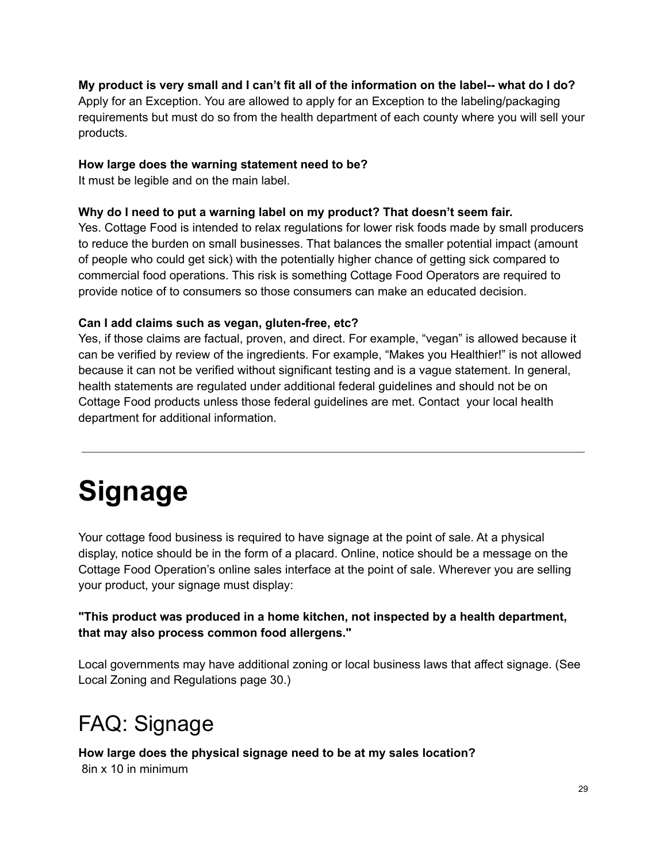### My product is very small and I can't fit all of the information on the label-- what do I do?

Apply for an Exception. You are allowed to apply for an Exception to the labeling/packaging requirements but must do so from the health department of each county where you will sell your products.

### **How large does the warning statement need to be?**

It must be legible and on the main label.

### **Why do I need to put a warning label on my product? That doesn't seem fair.**

Yes. Cottage Food is intended to relax regulations for lower risk foods made by small producers to reduce the burden on small businesses. That balances the smaller potential impact (amount of people who could get sick) with the potentially higher chance of getting sick compared to commercial food operations. This risk is something Cottage Food Operators are required to provide notice of to consumers so those consumers can make an educated decision.

### **Can I add claims such as vegan, gluten-free, etc?**

Yes, if those claims are factual, proven, and direct. For example, "vegan" is allowed because it can be verified by review of the ingredients. For example, "Makes you Healthier!" is not allowed because it can not be verified without significant testing and is a vague statement. In general, health statements are regulated under additional federal guidelines and should not be on Cottage Food products unless those federal guidelines are met. Contact your local health department for additional information.

# **Signage**

Your cottage food business is required to have signage at the point of sale. At a physical display, notice should be in the form of a placard. Online, notice should be a message on the Cottage Food Operation's online sales interface at the point of sale. Wherever you are selling your product, your signage must display:

### **"This product was produced in a home kitchen, not inspected by a health department, that may also process common food allergens."**

Local governments may have additional zoning or local business laws that affect signage. (See Local Zoning and Regulations page 30.)

## FAQ: Signage

**How large does the physical signage need to be at my sales location?**

8in x 10 in minimum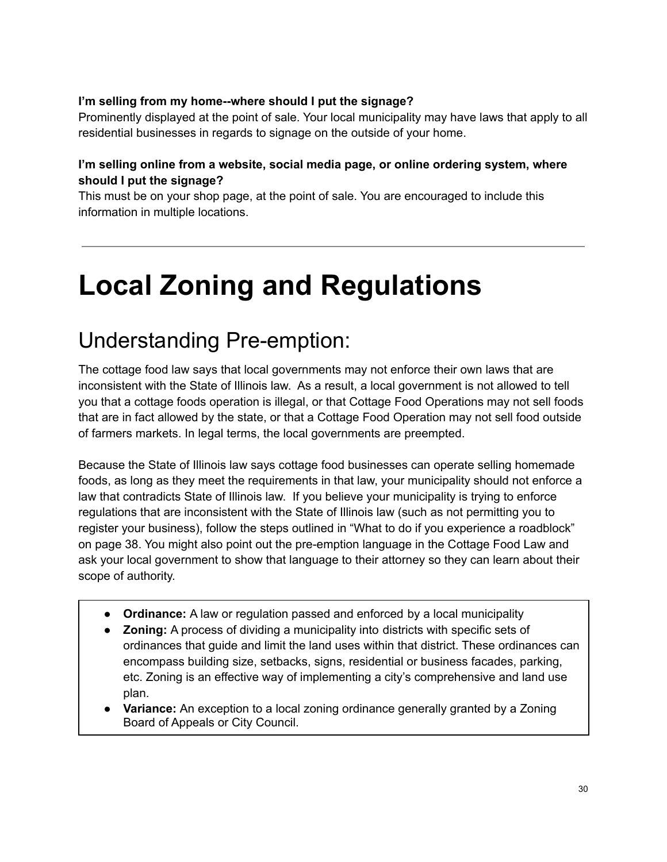### **I'm selling from my home--where should I put the signage?**

Prominently displayed at the point of sale. Your local municipality may have laws that apply to all residential businesses in regards to signage on the outside of your home.

### **I'm selling online from a website, social media page, or online ordering system, where should I put the signage?**

This must be on your shop page, at the point of sale. You are encouraged to include this information in multiple locations.

# **Local Zoning and Regulations**

## Understanding Pre-emption:

The cottage food law says that local governments may not enforce their own laws that are inconsistent with the State of Illinois law. As a result, a local government is not allowed to tell you that a cottage foods operation is illegal, or that Cottage Food Operations may not sell foods that are in fact allowed by the state, or that a Cottage Food Operation may not sell food outside of farmers markets. In legal terms, the local governments are preempted.

Because the State of Illinois law says cottage food businesses can operate selling homemade foods, as long as they meet the requirements in that law, your municipality should not enforce a law that contradicts State of Illinois law. If you believe your municipality is trying to enforce regulations that are inconsistent with the State of Illinois law (such as not permitting you to register your business), follow the steps outlined in "What to do if you experience a roadblock" on page 38. You might also point out the pre-emption language in the Cottage Food Law and ask your local government to show that language to their attorney so they can learn about their scope of authority.

- **● Ordinance:** A law or regulation passed and enforced by a local municipality
- **● Zoning:** A process of dividing a municipality into districts with specific sets of ordinances that guide and limit the land uses within that district. These ordinances can encompass building size, setbacks, signs, residential or business facades, parking, etc. Zoning is an effective way of implementing a city's comprehensive and land use plan.
- **Variance:** An exception to a local zoning ordinance generally granted by a Zoning Board of Appeals or City Council.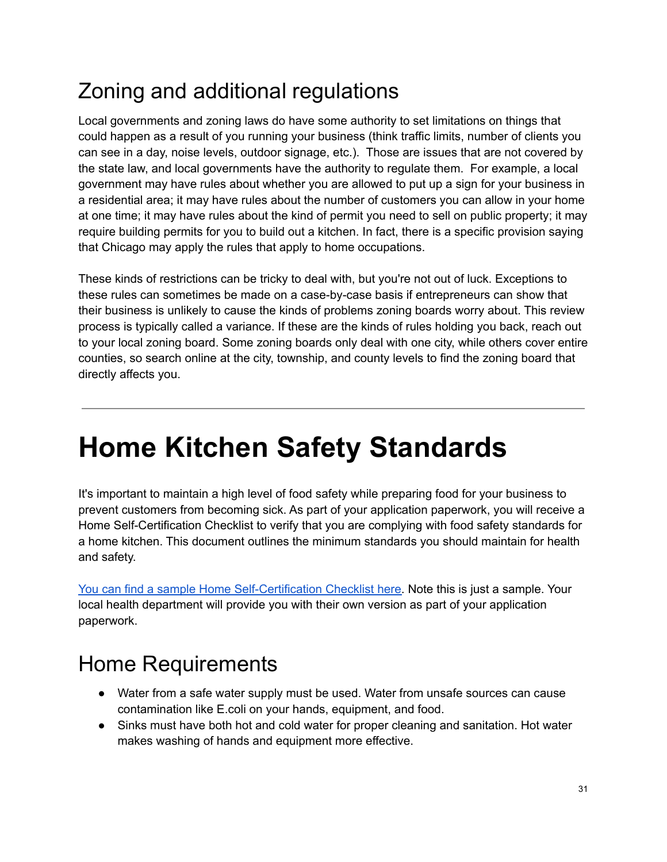## Zoning and additional regulations

Local governments and zoning laws do have some authority to set limitations on things that could happen as a result of you running your business (think traffic limits, number of clients you can see in a day, noise levels, outdoor signage, etc.). Those are issues that are not covered by the state law, and local governments have the authority to regulate them. For example, a local government may have rules about whether you are allowed to put up a sign for your business in a residential area; it may have rules about the number of customers you can allow in your home at one time; it may have rules about the kind of permit you need to sell on public property; it may require building permits for you to build out a kitchen. In fact, there is a specific provision saying that Chicago may apply the rules that apply to home occupations.

These kinds of restrictions can be tricky to deal with, but you're not out of luck. Exceptions to these rules can sometimes be made on a case-by-case basis if entrepreneurs can show that their business is unlikely to cause the kinds of problems zoning boards worry about. This review process is typically called a variance. If these are the kinds of rules holding you back, reach out to your local zoning board. Some zoning boards only deal with one city, while others cover entire counties, so search online at the city, township, and county levels to find the zoning board that directly affects you.

# **Home Kitchen Safety Standards**

It's important to maintain a high level of food safety while preparing food for your business to prevent customers from becoming sick. As part of your application paperwork, you will receive a Home Self-Certification Checklist to verify that you are complying with food safety standards for a home kitchen. This document outlines the minimum standards you should maintain for health and safety.

You can find a sample Home [Self-Certification](https://drive.google.com/file/d/1IJHVwQ0iPrBDu0NGEuaEaYEufMNsegXU/view?usp=sharing) Checklist here. Note this is just a sample. Your local health department will provide you with their own version as part of your application paperwork.

## Home Requirements

- Water from a safe water supply must be used. Water from unsafe sources can cause contamination like E.coli on your hands, equipment, and food.
- Sinks must have both hot and cold water for proper cleaning and sanitation. Hot water makes washing of hands and equipment more effective.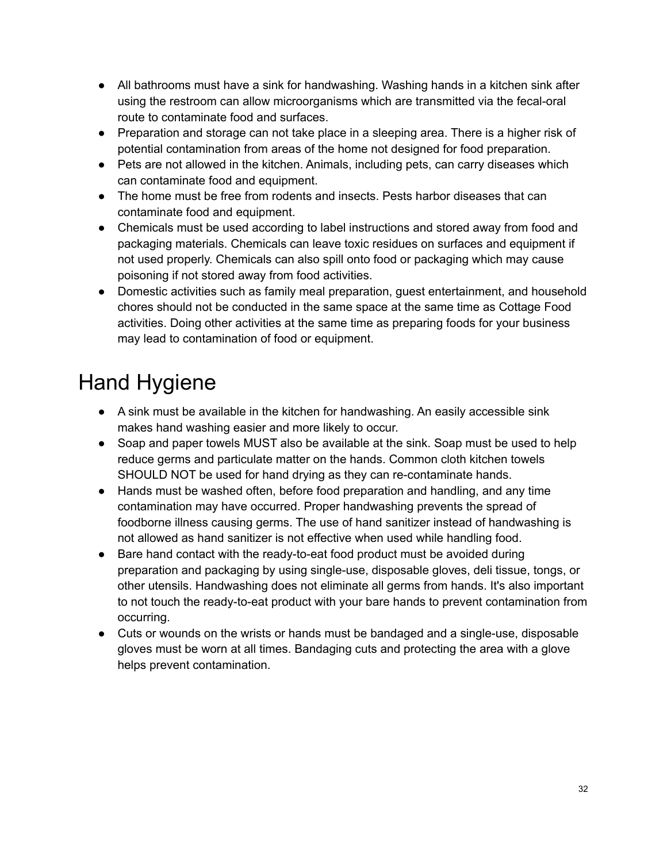- All bathrooms must have a sink for handwashing. Washing hands in a kitchen sink after using the restroom can allow microorganisms which are transmitted via the fecal-oral route to contaminate food and surfaces.
- Preparation and storage can not take place in a sleeping area. There is a higher risk of potential contamination from areas of the home not designed for food preparation.
- Pets are not allowed in the kitchen. Animals, including pets, can carry diseases which can contaminate food and equipment.
- The home must be free from rodents and insects. Pests harbor diseases that can contaminate food and equipment.
- Chemicals must be used according to label instructions and stored away from food and packaging materials. Chemicals can leave toxic residues on surfaces and equipment if not used properly. Chemicals can also spill onto food or packaging which may cause poisoning if not stored away from food activities.
- Domestic activities such as family meal preparation, guest entertainment, and household chores should not be conducted in the same space at the same time as Cottage Food activities. Doing other activities at the same time as preparing foods for your business may lead to contamination of food or equipment.

## Hand Hygiene

- A sink must be available in the kitchen for handwashing. An easily accessible sink makes hand washing easier and more likely to occur.
- Soap and paper towels MUST also be available at the sink. Soap must be used to help reduce germs and particulate matter on the hands. Common cloth kitchen towels SHOULD NOT be used for hand drying as they can re-contaminate hands.
- Hands must be washed often, before food preparation and handling, and any time contamination may have occurred. Proper handwashing prevents the spread of foodborne illness causing germs. The use of hand sanitizer instead of handwashing is not allowed as hand sanitizer is not effective when used while handling food.
- Bare hand contact with the ready-to-eat food product must be avoided during preparation and packaging by using single-use, disposable gloves, deli tissue, tongs, or other utensils. Handwashing does not eliminate all germs from hands. It's also important to not touch the ready-to-eat product with your bare hands to prevent contamination from occurring.
- Cuts or wounds on the wrists or hands must be bandaged and a single-use, disposable gloves must be worn at all times. Bandaging cuts and protecting the area with a glove helps prevent contamination.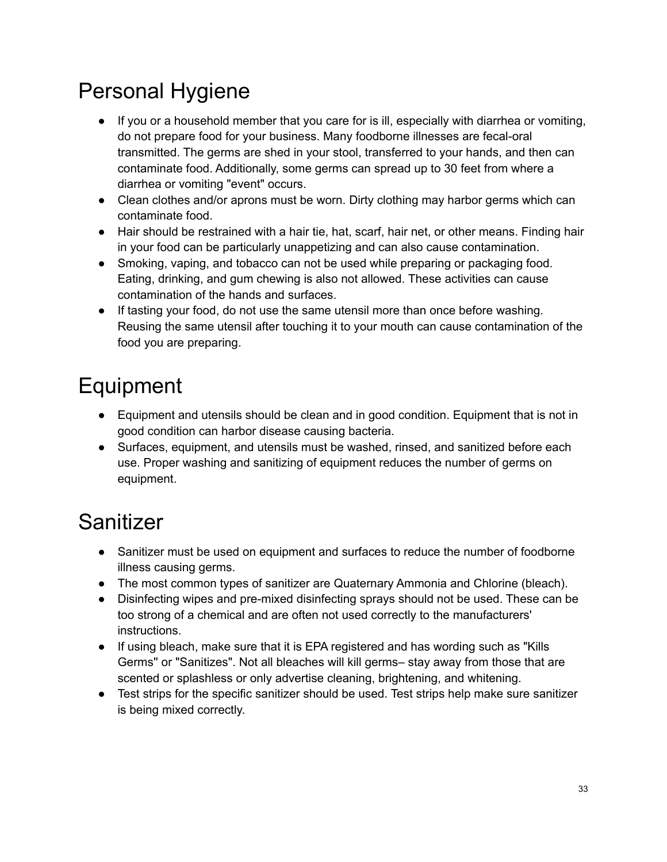## Personal Hygiene

- If you or a household member that you care for is ill, especially with diarrhea or vomiting, do not prepare food for your business. Many foodborne illnesses are fecal-oral transmitted. The germs are shed in your stool, transferred to your hands, and then can contaminate food. Additionally, some germs can spread up to 30 feet from where a diarrhea or vomiting "event" occurs.
- Clean clothes and/or aprons must be worn. Dirty clothing may harbor germs which can contaminate food.
- Hair should be restrained with a hair tie, hat, scarf, hair net, or other means. Finding hair in your food can be particularly unappetizing and can also cause contamination.
- Smoking, vaping, and tobacco can not be used while preparing or packaging food. Eating, drinking, and gum chewing is also not allowed. These activities can cause contamination of the hands and surfaces.
- If tasting your food, do not use the same utensil more than once before washing. Reusing the same utensil after touching it to your mouth can cause contamination of the food you are preparing.

## Equipment

- Equipment and utensils should be clean and in good condition. Equipment that is not in good condition can harbor disease causing bacteria.
- Surfaces, equipment, and utensils must be washed, rinsed, and sanitized before each use. Proper washing and sanitizing of equipment reduces the number of germs on equipment.

## Sanitizer

- Sanitizer must be used on equipment and surfaces to reduce the number of foodborne illness causing germs.
- The most common types of sanitizer are Quaternary Ammonia and Chlorine (bleach).
- Disinfecting wipes and pre-mixed disinfecting sprays should not be used. These can be too strong of a chemical and are often not used correctly to the manufacturers' instructions.
- If using bleach, make sure that it is EPA registered and has wording such as "Kills Germs'' or "Sanitizes". Not all bleaches will kill germs– stay away from those that are scented or splashless or only advertise cleaning, brightening, and whitening.
- Test strips for the specific sanitizer should be used. Test strips help make sure sanitizer is being mixed correctly.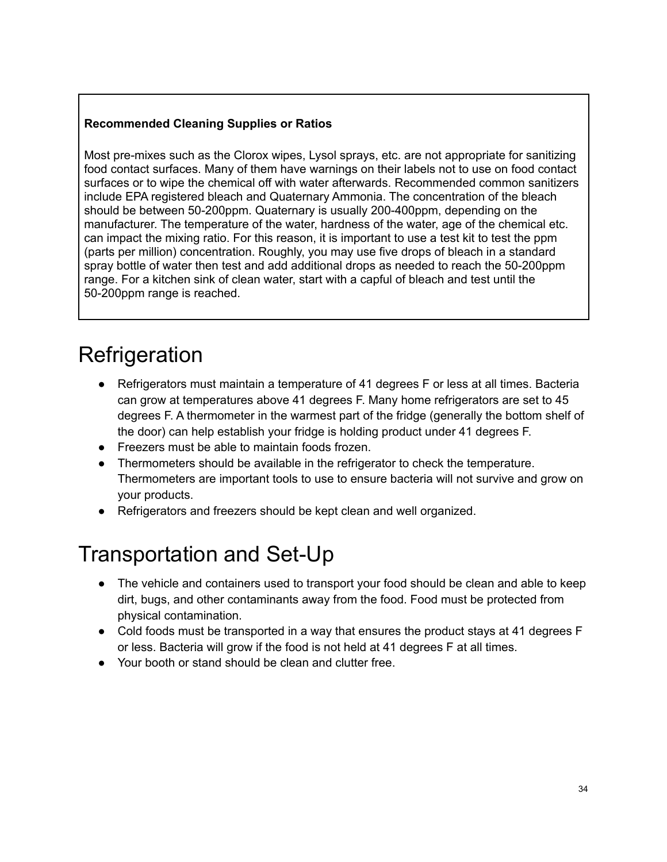### **Recommended Cleaning Supplies or Ratios**

Most pre-mixes such as the Clorox wipes, Lysol sprays, etc. are not appropriate for sanitizing food contact surfaces. Many of them have warnings on their labels not to use on food contact surfaces or to wipe the chemical off with water afterwards. Recommended common sanitizers include EPA registered bleach and Quaternary Ammonia. The concentration of the bleach should be between 50-200ppm. Quaternary is usually 200-400ppm, depending on the manufacturer. The temperature of the water, hardness of the water, age of the chemical etc. can impact the mixing ratio. For this reason, it is important to use a test kit to test the ppm (parts per million) concentration. Roughly, you may use five drops of bleach in a standard spray bottle of water then test and add additional drops as needed to reach the 50-200ppm range. For a kitchen sink of clean water, start with a capful of bleach and test until the 50-200ppm range is reached.

## **Refrigeration**

- Refrigerators must maintain a temperature of 41 degrees F or less at all times. Bacteria can grow at temperatures above 41 degrees F. Many home refrigerators are set to 45 degrees F. A thermometer in the warmest part of the fridge (generally the bottom shelf of the door) can help establish your fridge is holding product under 41 degrees F.
- Freezers must be able to maintain foods frozen.
- Thermometers should be available in the refrigerator to check the temperature. Thermometers are important tools to use to ensure bacteria will not survive and grow on your products.
- Refrigerators and freezers should be kept clean and well organized.

### Transportation and Set-Up

- The vehicle and containers used to transport your food should be clean and able to keep dirt, bugs, and other contaminants away from the food. Food must be protected from physical contamination.
- Cold foods must be transported in a way that ensures the product stays at 41 degrees F or less. Bacteria will grow if the food is not held at 41 degrees F at all times.
- Your booth or stand should be clean and clutter free.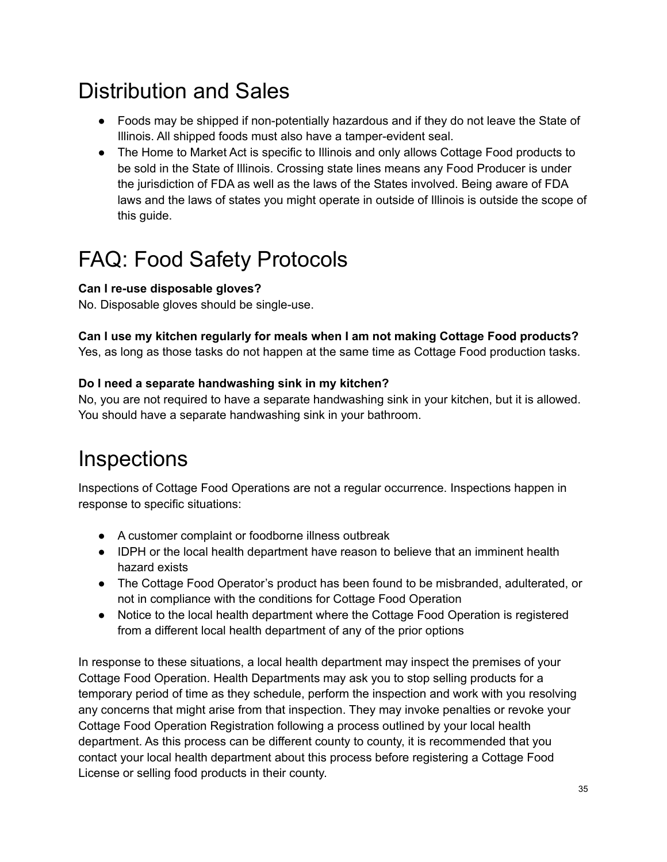## Distribution and Sales

- Foods may be shipped if non-potentially hazardous and if they do not leave the State of Illinois. All shipped foods must also have a tamper-evident seal.
- The Home to Market Act is specific to Illinois and only allows Cottage Food products to be sold in the State of Illinois. Crossing state lines means any Food Producer is under the jurisdiction of FDA as well as the laws of the States involved. Being aware of FDA laws and the laws of states you might operate in outside of Illinois is outside the scope of this guide.

## FAQ: Food Safety Protocols

### **Can I re-use disposable gloves?**

No. Disposable gloves should be single-use.

### **Can I use my kitchen regularly for meals when I am not making Cottage Food products?**

Yes, as long as those tasks do not happen at the same time as Cottage Food production tasks.

### **Do I need a separate handwashing sink in my kitchen?**

No, you are not required to have a separate handwashing sink in your kitchen, but it is allowed. You should have a separate handwashing sink in your bathroom.

## **Inspections**

Inspections of Cottage Food Operations are not a regular occurrence. Inspections happen in response to specific situations:

- A customer complaint or foodborne illness outbreak
- IDPH or the local health department have reason to believe that an imminent health hazard exists
- The Cottage Food Operator's product has been found to be misbranded, adulterated, or not in compliance with the conditions for Cottage Food Operation
- Notice to the local health department where the Cottage Food Operation is registered from a different local health department of any of the prior options

In response to these situations, a local health department may inspect the premises of your Cottage Food Operation. Health Departments may ask you to stop selling products for a temporary period of time as they schedule, perform the inspection and work with you resolving any concerns that might arise from that inspection. They may invoke penalties or revoke your Cottage Food Operation Registration following a process outlined by your local health department. As this process can be different county to county, it is recommended that you contact your local health department about this process before registering a Cottage Food License or selling food products in their county.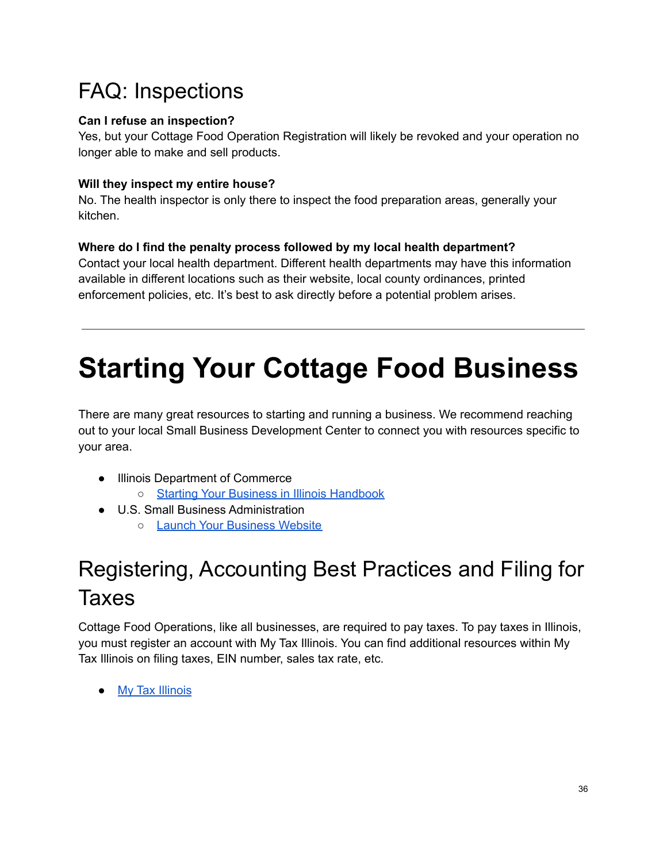## FAQ: Inspections

### **Can I refuse an inspection?**

Yes, but your Cottage Food Operation Registration will likely be revoked and your operation no longer able to make and sell products.

### **Will they inspect my entire house?**

No. The health inspector is only there to inspect the food preparation areas, generally your kitchen.

### **Where do I find the penalty process followed by my local health department?**

Contact your local health department. Different health departments may have this information available in different locations such as their website, local county ordinances, printed enforcement policies, etc. It's best to ask directly before a potential problem arises.

# **Starting Your Cottage Food Business**

There are many great resources to starting and running a business. We recommend reaching out to your local Small Business Development Center to connect you with resources specific to your area.

- Illinois Department of Commerce
	- Starting Your Business in Illinois [Handbook](https://www2.illinois.gov/dceo/SmallBizAssistance/BeginHere/Documents/Starting%20Your%20Business%20Handbook%20Final%20Version%20November%202019%20(002).pdf)
- U.S. Small Business Administration
	- Launch Your [Business](https://www.sba.gov/business-guide/launch-your-business/pick-your-business-location) Website

## Registering, Accounting Best Practices and Filing for Taxes

Cottage Food Operations, like all businesses, are required to pay taxes. To pay taxes in Illinois, you must register an account with My Tax Illinois. You can find additional resources within My Tax Illinois on filing taxes, EIN number, sales tax rate, etc.

● My Tax [Illinois](https://mytax.illinois.gov/_/)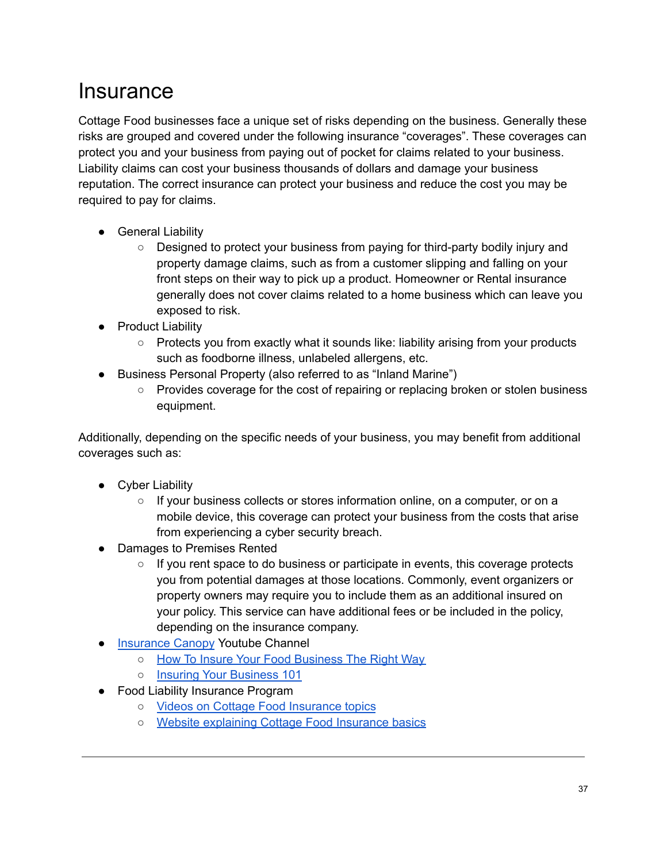### **Insurance**

Cottage Food businesses face a unique set of risks depending on the business. Generally these risks are grouped and covered under the following insurance "coverages". These coverages can protect you and your business from paying out of pocket for claims related to your business. Liability claims can cost your business thousands of dollars and damage your business reputation. The correct insurance can protect your business and reduce the cost you may be required to pay for claims.

- General Liability
	- Designed to protect your business from paying for third-party bodily injury and property damage claims, such as from a customer slipping and falling on your front steps on their way to pick up a product. Homeowner or Rental insurance generally does not cover claims related to a home business which can leave you exposed to risk.
- Product Liability
	- Protects you from exactly what it sounds like: liability arising from your products such as foodborne illness, unlabeled allergens, etc.
- Business Personal Property (also referred to as "Inland Marine")
	- Provides coverage for the cost of repairing or replacing broken or stolen business equipment.

Additionally, depending on the specific needs of your business, you may benefit from additional coverages such as:

- Cyber Liability
	- If your business collects or stores information online, on a computer, or on a mobile device, this coverage can protect your business from the costs that arise from experiencing a cyber security breach.
- Damages to Premises Rented
	- $\circ$  If you rent space to do business or participate in events, this coverage protects you from potential damages at those locations. Commonly, event organizers or property owners may require you to include them as an additional insured on your policy. This service can have additional fees or be included in the policy, depending on the insurance company.
- [Insurance](https://www.insurancecanopy.com/) Canopy Youtube Channel
	- How To Insure Your Food [Business](https://www.youtube.com/watch?v=2Z2VCsSB8IA) The Right Way
	- Insuring Your [Business](https://www.youtube.com/watch?v=LHFWf9BPc2g) 101
- Food Liability Insurance Program
	- Videos on Cottage Food [Insurance](https://www.youtube.com/c/Fliprogram) topics
	- Website [explaining](https://www.fliprogram.com/cottage-food-law-insurance) Cottage Food Insurance basics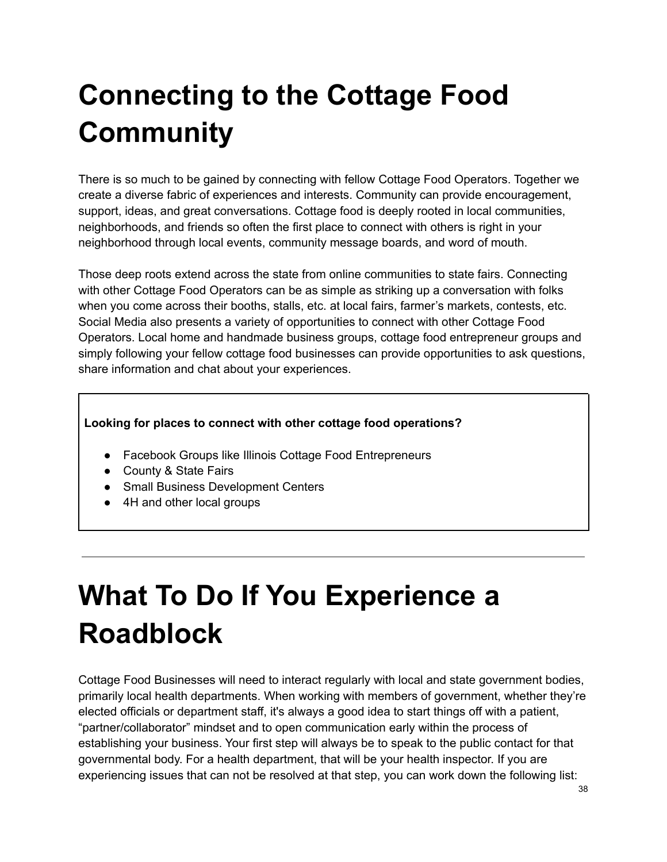# **Connecting to the Cottage Food Community**

There is so much to be gained by connecting with fellow Cottage Food Operators. Together we create a diverse fabric of experiences and interests. Community can provide encouragement, support, ideas, and great conversations. Cottage food is deeply rooted in local communities, neighborhoods, and friends so often the first place to connect with others is right in your neighborhood through local events, community message boards, and word of mouth.

Those deep roots extend across the state from online communities to state fairs. Connecting with other Cottage Food Operators can be as simple as striking up a conversation with folks when you come across their booths, stalls, etc. at local fairs, farmer's markets, contests, etc. Social Media also presents a variety of opportunities to connect with other Cottage Food Operators. Local home and handmade business groups, cottage food entrepreneur groups and simply following your fellow cottage food businesses can provide opportunities to ask questions, share information and chat about your experiences.

### **Looking for places to connect with other cottage food operations?**

- Facebook Groups like Illinois Cottage Food Entrepreneurs
- County & State Fairs
- Small Business Development Centers
- 4H and other local groups

# **What To Do If You Experience a Roadblock**

Cottage Food Businesses will need to interact regularly with local and state government bodies, primarily local health departments. When working with members of government, whether they're elected officials or department staff, it's always a good idea to start things off with a patient, "partner/collaborator" mindset and to open communication early within the process of establishing your business. Your first step will always be to speak to the public contact for that governmental body. For a health department, that will be your health inspector. If you are experiencing issues that can not be resolved at that step, you can work down the following list: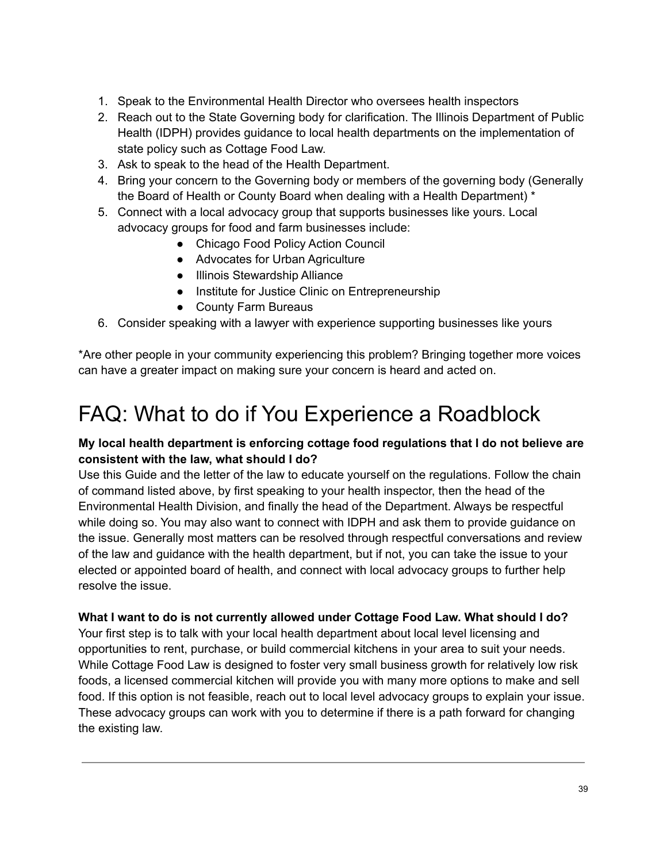- 1. Speak to the Environmental Health Director who oversees health inspectors
- 2. Reach out to the State Governing body for clarification. The Illinois Department of Public Health (IDPH) provides guidance to local health departments on the implementation of state policy such as Cottage Food Law.
- 3. Ask to speak to the head of the Health Department.
- 4. Bring your concern to the Governing body or members of the governing body (Generally the Board of Health or County Board when dealing with a Health Department) \*
- 5. Connect with a local advocacy group that supports businesses like yours. Local advocacy groups for food and farm businesses include:
	- Chicago Food Policy Action Council
	- Advocates for Urban Agriculture
	- Illinois Stewardship Alliance
	- Institute for Justice Clinic on Entrepreneurship
	- County Farm Bureaus
- 6. Consider speaking with a lawyer with experience supporting businesses like yours

\*Are other people in your community experiencing this problem? Bringing together more voices can have a greater impact on making sure your concern is heard and acted on.

## FAQ: What to do if You Experience a Roadblock

### **My local health department is enforcing cottage food regulations that I do not believe are consistent with the law, what should I do?**

Use this Guide and the letter of the law to educate yourself on the regulations. Follow the chain of command listed above, by first speaking to your health inspector, then the head of the Environmental Health Division, and finally the head of the Department. Always be respectful while doing so. You may also want to connect with IDPH and ask them to provide guidance on the issue. Generally most matters can be resolved through respectful conversations and review of the law and guidance with the health department, but if not, you can take the issue to your elected or appointed board of health, and connect with local advocacy groups to further help resolve the issue.

### **What I want to do is not currently allowed under Cottage Food Law. What should I do?**

Your first step is to talk with your local health department about local level licensing and opportunities to rent, purchase, or build commercial kitchens in your area to suit your needs. While Cottage Food Law is designed to foster very small business growth for relatively low risk foods, a licensed commercial kitchen will provide you with many more options to make and sell food. If this option is not feasible, reach out to local level advocacy groups to explain your issue. These advocacy groups can work with you to determine if there is a path forward for changing the existing law.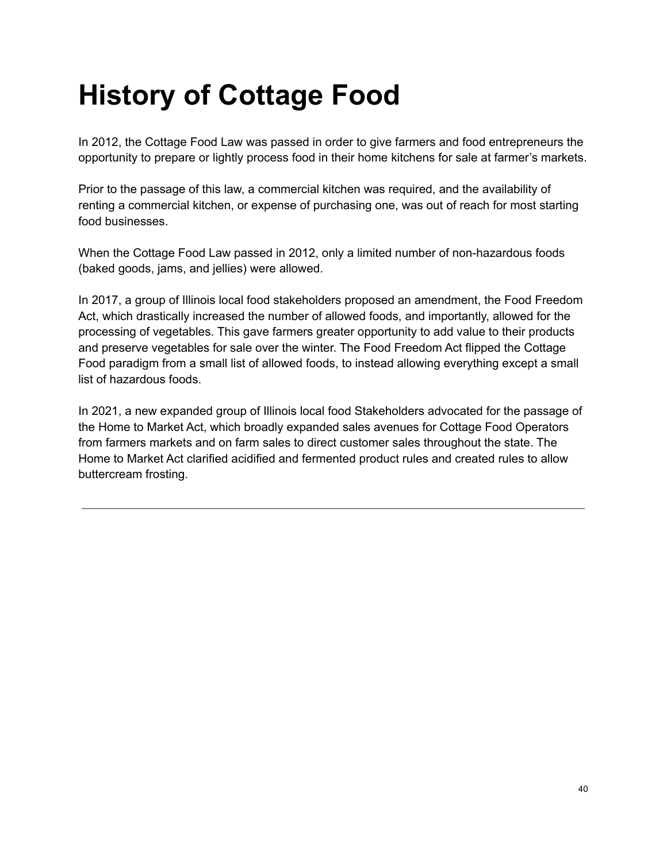# **History of Cottage Food**

In 2012, the Cottage Food Law was passed in order to give farmers and food entrepreneurs the opportunity to prepare or lightly process food in their home kitchens for sale at farmer's markets.

Prior to the passage of this law, a commercial kitchen was required, and the availability of renting a commercial kitchen, or expense of purchasing one, was out of reach for most starting food businesses.

When the Cottage Food Law passed in 2012, only a limited number of non-hazardous foods (baked goods, jams, and jellies) were allowed.

In 2017, a group of Illinois local food stakeholders proposed an amendment, the Food Freedom Act, which drastically increased the number of allowed foods, and importantly, allowed for the processing of vegetables. This gave farmers greater opportunity to add value to their products and preserve vegetables for sale over the winter. The Food Freedom Act flipped the Cottage Food paradigm from a small list of allowed foods, to instead allowing everything except a small list of hazardous foods.

In 2021, a new expanded group of Illinois local food Stakeholders advocated for the passage of the Home to Market Act, which broadly expanded sales avenues for Cottage Food Operators from farmers markets and on farm sales to direct customer sales throughout the state. The Home to Market Act clarified acidified and fermented product rules and created rules to allow buttercream frosting.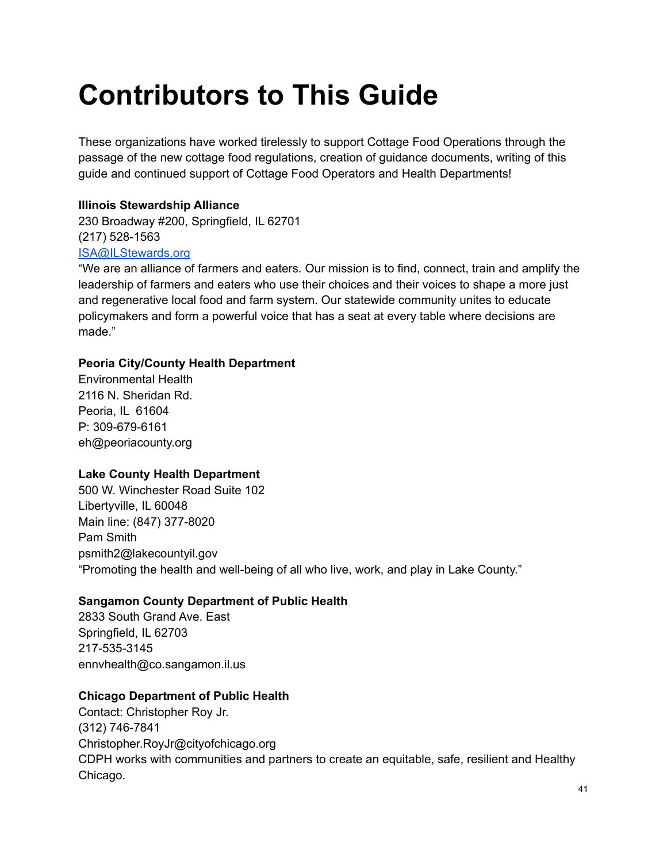# **Contributors to This Guide**

These organizations have worked tirelessly to support Cottage Food Operations through the passage of the new cottage food regulations, creation of guidance documents, writing of this guide and continued support of Cottage Food Operators and Health Departments!

### **Illinois Stewardship Alliance**

230 Broadway #200, Springfield, IL 62701 (217) 528-1563 [ISA@ILStewards.org](mailto:ISA@ILStewards.org)

"We are an alliance of farmers and eaters. Our mission is to find, connect, train and amplify the leadership of farmers and eaters who use their choices and their voices to shape a more just and regenerative local food and farm system. Our statewide community unites to educate policymakers and form a powerful voice that has a seat at every table where decisions are made."

### **Peoria City/County Health Department**

Environmental Health 2116 N. Sheridan Rd. Peoria, IL 61604 P: 309-679-6161 eh@peoriacounty.org

### **Lake County Health Department**

500 W. Winchester Road Suite 102 Libertyville, IL 60048 Main line: (847) 377-8020 Pam Smith psmith2@lakecountyil.gov "Promoting the health and well-being of all who live, work, and play in Lake County."

### **Sangamon County Department of Public Health**

2833 South Grand Ave. East Springfield, IL 62703 217-535-3145 ennvhealth@co.sangamon.il.us

### **Chicago Department of Public Health**

Contact: Christopher Roy Jr. (312) 746-7841 Christopher.RoyJr@cityofchicago.org CDPH works with communities and partners to create an equitable, safe, resilient and Healthy Chicago.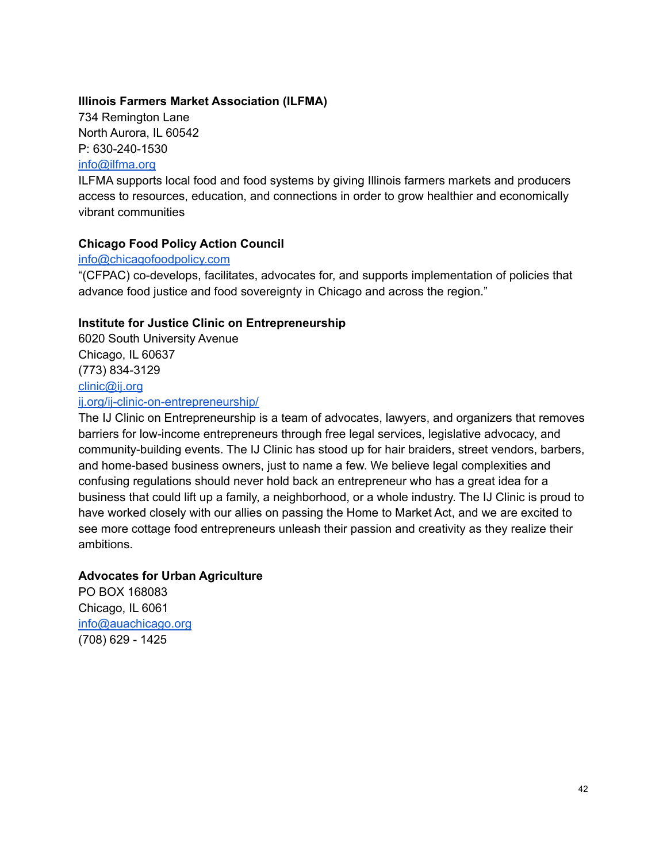### **Illinois Farmers Market Association (ILFMA)**

734 Remington Lane North Aurora, IL 60542 P: 630-240-1530

#### [info@ilfma.org](mailto:info@ilfma.org)

ILFMA supports local food and food systems by giving Illinois farmers markets and producers access to resources, education, and connections in order to grow healthier and economically vibrant communities

### **Chicago Food Policy Action Council**

#### [info@chicagofoodpolicy.com](mailto:info@chicagofoodpolicy.com)

"(CFPAC) co-develops, facilitates, advocates for, and supports implementation of policies that advance food justice and food sovereignty in Chicago and across the region."

### **Institute for Justice Clinic on Entrepreneurship**

6020 South University Avenue Chicago, IL 60637 (773) 834-3129 [clinic@ij.org](mailto:clinic@ij.org)

### [ij.org/ij-clinic-on-entrepreneurship/](https://ij.org/ij-clinic-on-entrepreneurship/)

The IJ Clinic on Entrepreneurship is a team of advocates, lawyers, and organizers that removes barriers for low-income entrepreneurs through free legal services, legislative advocacy, and community-building events. The IJ Clinic has stood up for hair braiders, street vendors, barbers, and home-based business owners, just to name a few. We believe legal complexities and confusing regulations should never hold back an entrepreneur who has a great idea for a business that could lift up a family, a neighborhood, or a whole industry. The IJ Clinic is proud to have worked closely with our allies on passing the Home to Market Act, and we are excited to see more cottage food entrepreneurs unleash their passion and creativity as they realize their ambitions.

### **Advocates for Urban Agriculture**

PO BOX 168083 Chicago, IL 6061 [info@auachicago.org](mailto:info@auachicago.org) (708) 629 - 1425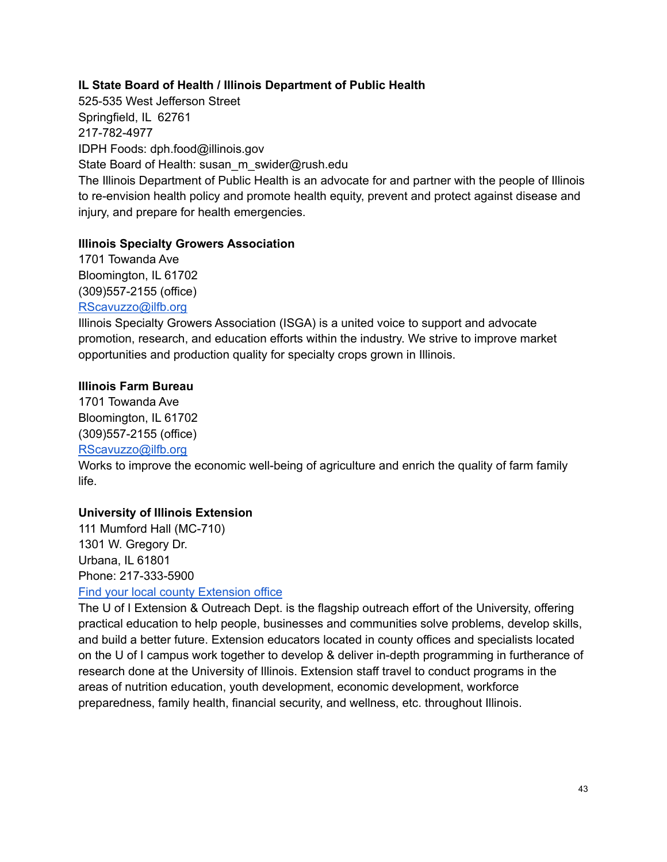### **IL State Board of Health / Illinois Department of Public Health**

525-535 West Jefferson Street Springfield, IL 62761 217-782-4977 IDPH Foods: dph.food@illinois.gov State Board of Health: susan\_m\_swider@rush.edu The Illinois Department of Public Health is an advocate for and partner with the people of Illinois to re-envision health policy and promote health equity, prevent and protect against disease and injury, and prepare for health emergencies.

#### **Illinois Specialty Growers Association**

1701 Towanda Ave Bloomington, IL 61702 (309)557-2155 (office) [RScavuzzo@ilfb.org](mailto:RScavuzzo@ilfb.org)

Illinois Specialty Growers Association (ISGA) is a united voice to support and advocate promotion, research, and education efforts within the industry. We strive to improve market opportunities and production quality for specialty crops grown in Illinois.

#### **Illinois Farm Bureau**

1701 Towanda Ave Bloomington, IL 61702 (309)557-2155 (office)

### [RScavuzzo@ilfb.org](mailto:RScavuzzo@ilfb.org)

Works to improve the economic well-being of agriculture and enrich the quality of farm family life.

### **University of Illinois Extension**

111 Mumford Hall (MC-710) 1301 W. Gregory Dr. Urbana, IL 61801 Phone: 217-333-5900 Find your local county [Extension](https://extension.illinois.edu/global/where-we-serve) office

The U of I Extension & Outreach Dept. is the flagship outreach effort of the University, offering practical education to help people, businesses and communities solve problems, develop skills, and build a better future. Extension educators located in county offices and specialists located on the U of I campus work together to develop & deliver in-depth programming in furtherance of research done at the University of Illinois. Extension staff travel to conduct programs in the areas of nutrition education, youth development, economic development, workforce preparedness, family health, financial security, and wellness, etc. throughout Illinois.